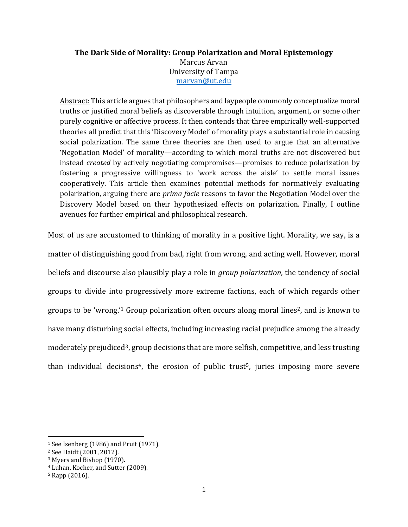# **The Dark Side of Morality: Group Polarization and Moral Epistemology**

Marcus Arvan University of Tampa [marvan@ut.edu](mailto:marvan@ut.edu)

Abstract: This article argues that philosophers and laypeople commonly conceptualize moral truths or justified moral beliefs as discoverable through intuition, argument, or some other purely cognitive or affective process. It then contends that three empirically well-supported theories all predict that this 'Discovery Model' of morality plays a substantial role in causing social polarization. The same three theories are then used to argue that an alternative 'Negotiation Model' of morality—according to which moral truths are not discovered but instead *created* by actively negotiating compromises—promises to reduce polarization by fostering a progressive willingness to 'work across the aisle' to settle moral issues cooperatively. This article then examines potential methods for normatively evaluating polarization, arguing there are *prima facie* reasons to favor the Negotiation Model over the Discovery Model based on their hypothesized effects on polarization. Finally, I outline avenues for further empirical and philosophical research.

Most of us are accustomed to thinking of morality in a positive light. Morality, we say, is a matter of distinguishing good from bad, right from wrong, and acting well. However, moral beliefs and discourse also plausibly play a role in *group polarization*, the tendency of social groups to divide into progressively more extreme factions, each of which regards other groups to be 'wrong.<sup>'1</sup> Group polarization often occurs along moral lines<sup>2</sup>, and is known to have many disturbing social effects, including increasing racial prejudice among the already moderately prejudiced<sup>3</sup>, group decisions that are more selfish, competitive, and less trusting than individual decisions<sup>4</sup>, the erosion of public trust<sup>5</sup>, juries imposing more severe

<sup>1</sup> See Isenberg (1986) and Pruit (1971).

<sup>2</sup> See Haidt (2001, 2012).

<sup>3</sup> Myers and Bishop (1970).

<sup>4</sup> Luhan, Kocher, and Sutter (2009).

<sup>5</sup> Rapp (2016).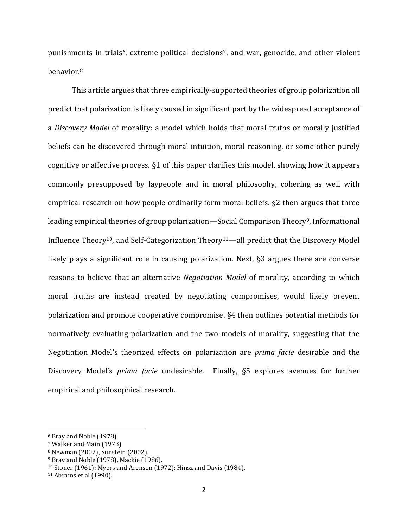punishments in trials<sup>6</sup>, extreme political decisions<sup>7</sup>, and war, genocide, and other violent behavior.<sup>8</sup>

This article argues that three empirically-supported theories of group polarization all predict that polarization is likely caused in significant part by the widespread acceptance of a *Discovery Model* of morality: a model which holds that moral truths or morally justified beliefs can be discovered through moral intuition, moral reasoning, or some other purely cognitive or affective process. §1 of this paper clarifies this model, showing how it appears commonly presupposed by laypeople and in moral philosophy, cohering as well with empirical research on how people ordinarily form moral beliefs. §2 then argues that three leading empirical theories of group polarization—Social Comparison Theory9, Informational Influence Theory10, and Self-Categorization Theory11—all predict that the Discovery Model likely plays a significant role in causing polarization. Next, §3 argues there are converse reasons to believe that an alternative *Negotiation Model* of morality, according to which moral truths are instead created by negotiating compromises, would likely prevent polarization and promote cooperative compromise. §4 then outlines potential methods for normatively evaluating polarization and the two models of morality, suggesting that the Negotiation Model's theorized effects on polarization are *prima facie* desirable and the Discovery Model's *prima facie* undesirable. Finally, §5 explores avenues for further empirical and philosophical research.

<sup>6</sup> Bray and Noble (1978)

<sup>7</sup> Walker and Main (1973)

<sup>8</sup> Newman (2002), Sunstein (2002).

<sup>9</sup> Bray and Noble (1978), Mackie (1986).

<sup>10</sup> Stoner (1961); Myers and Arenson (1972); Hinsz and Davis (1984).

<sup>11</sup> Abrams et al (1990).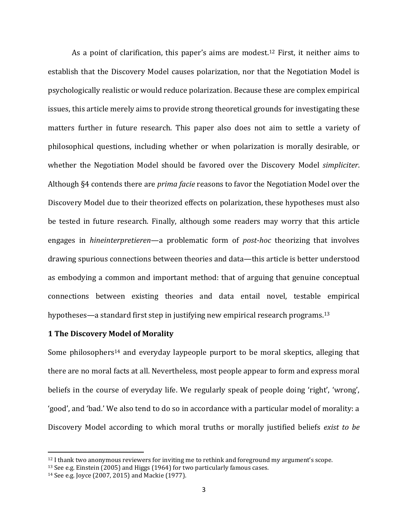As a point of clarification, this paper's aims are modest.<sup>12</sup> First, it neither aims to establish that the Discovery Model causes polarization, nor that the Negotiation Model is psychologically realistic or would reduce polarization. Because these are complex empirical issues, this article merely aims to provide strong theoretical grounds for investigating these matters further in future research. This paper also does not aim to settle a variety of philosophical questions, including whether or when polarization is morally desirable, or whether the Negotiation Model should be favored over the Discovery Model *simpliciter*. Although §4 contends there are *prima facie* reasons to favor the Negotiation Model over the Discovery Model due to their theorized effects on polarization, these hypotheses must also be tested in future research. Finally, although some readers may worry that this article engages in *hineinterpretieren*—a problematic form of *post-hoc* theorizing that involves drawing spurious connections between theories and data—this article is better understood as embodying a common and important method: that of arguing that genuine conceptual connections between existing theories and data entail novel, testable empirical hypotheses—a standard first step in justifying new empirical research programs. 13

#### **1 The Discovery Model of Morality**

Some philosophers<sup>14</sup> and everyday laypeople purport to be moral skeptics, alleging that there are no moral facts at all. Nevertheless, most people appear to form and express moral beliefs in the course of everyday life. We regularly speak of people doing 'right', 'wrong', 'good', and 'bad.' We also tend to do so in accordance with a particular model of morality: a Discovery Model according to which moral truths or morally justified beliefs *exist to be* 

 $12$  I thank two anonymous reviewers for inviting me to rethink and foreground my argument's scope.

<sup>13</sup> See e.g. Einstein (2005) and Higgs (1964) for two particularly famous cases.

<sup>14</sup> See e.g. Joyce (2007, 2015) and Mackie (1977).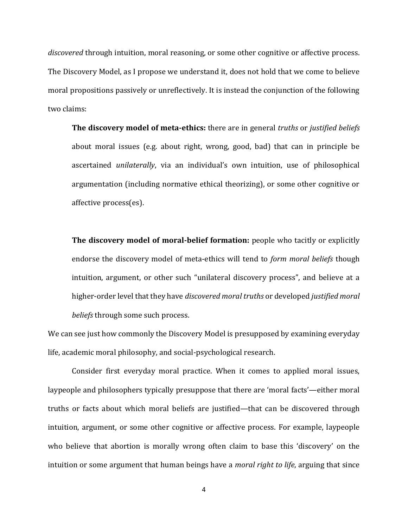*discovered* through intuition, moral reasoning, or some other cognitive or affective process. The Discovery Model, as I propose we understand it, does not hold that we come to believe moral propositions passively or unreflectively. It is instead the conjunction of the following two claims:

**The discovery model of meta-ethics:** there are in general *truths* or *justified beliefs*  about moral issues (e.g. about right, wrong, good, bad) that can in principle be ascertained *unilaterally*, via an individual's own intuition, use of philosophical argumentation (including normative ethical theorizing), or some other cognitive or affective process(es).

**The discovery model of moral-belief formation:** people who tacitly or explicitly endorse the discovery model of meta-ethics will tend to *form moral beliefs* though intuition, argument, or other such "unilateral discovery process", and believe at a higher-order level that they have *discovered moral truths* or developed *justified moral beliefs* through some such process.

We can see just how commonly the Discovery Model is presupposed by examining everyday life, academic moral philosophy, and social-psychological research.

Consider first everyday moral practice. When it comes to applied moral issues, laypeople and philosophers typically presuppose that there are 'moral facts'—either moral truths or facts about which moral beliefs are justified—that can be discovered through intuition, argument, or some other cognitive or affective process. For example, laypeople who believe that abortion is morally wrong often claim to base this 'discovery' on the intuition or some argument that human beings have a *moral right to life*, arguing that since

4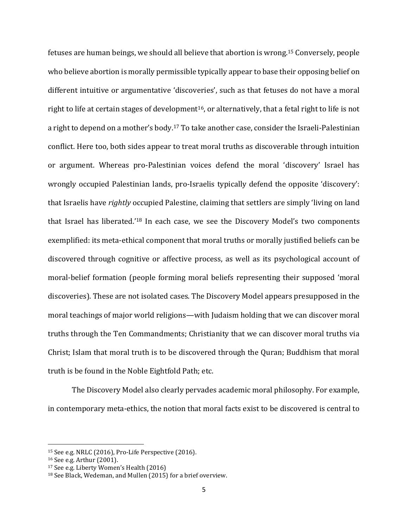fetuses are human beings, we should all believe that abortion is wrong.<sup>15</sup> Conversely, people who believe abortion is morally permissible typically appear to base their opposing belief on different intuitive or argumentative 'discoveries', such as that fetuses do not have a moral right to life at certain stages of development<sup>16</sup>, or alternatively, that a fetal right to life is not a right to depend on a mother's body.<sup>17</sup> To take another case, consider the Israeli-Palestinian conflict. Here too, both sides appear to treat moral truths as discoverable through intuition or argument. Whereas pro-Palestinian voices defend the moral 'discovery' Israel has wrongly occupied Palestinian lands, pro-Israelis typically defend the opposite 'discovery': that Israelis have *rightly* occupied Palestine, claiming that settlers are simply 'living on land that Israel has liberated.'<sup>18</sup> In each case, we see the Discovery Model's two components exemplified: its meta-ethical component that moral truths or morally justified beliefs can be discovered through cognitive or affective process, as well as its psychological account of moral-belief formation (people forming moral beliefs representing their supposed 'moral discoveries). These are not isolated cases. The Discovery Model appears presupposed in the moral teachings of major world religions—with Judaism holding that we can discover moral truths through the Ten Commandments; Christianity that we can discover moral truths via Christ; Islam that moral truth is to be discovered through the Quran; Buddhism that moral truth is be found in the Noble Eightfold Path; etc.

The Discovery Model also clearly pervades academic moral philosophy. For example, in contemporary meta-ethics, the notion that moral facts exist to be discovered is central to

<sup>15</sup> See e.g. NRLC (2016), Pro-Life Perspective (2016).

<sup>16</sup> See e.g. Arthur (2001).

<sup>17</sup> See e.g. Liberty Women's Health (2016)

<sup>18</sup> See Black, Wedeman, and Mullen (2015) for a brief overview.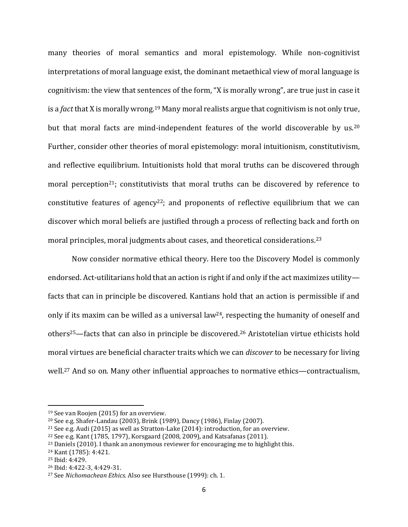many theories of moral semantics and moral epistemology. While non-cognitivist interpretations of moral language exist, the dominant metaethical view of moral language is cognitivism: the view that sentences of the form, "X is morally wrong", are true just in case it is a *fact* that X is morally wrong.<sup>19</sup> Many moral realists argue that cognitivism is not only true, but that moral facts are mind-independent features of the world discoverable by us.<sup>20</sup> Further, consider other theories of moral epistemology: moral intuitionism, constitutivism, and reflective equilibrium. Intuitionists hold that moral truths can be discovered through moral perception<sup>21</sup>; constitutivists that moral truths can be discovered by reference to constitutive features of agency<sup>22</sup>; and proponents of reflective equilibrium that we can discover which moral beliefs are justified through a process of reflecting back and forth on moral principles, moral judgments about cases, and theoretical considerations.<sup>23</sup>

Now consider normative ethical theory. Here too the Discovery Model is commonly endorsed. Act-utilitarians hold that an action is right if and only if the act maximizes utility facts that can in principle be discovered. Kantians hold that an action is permissible if and only if its maxim can be willed as a universal law<sup>24</sup>, respecting the humanity of oneself and others25—facts that can also in principle be discovered.<sup>26</sup> Aristotelian virtue ethicists hold moral virtues are beneficial character traits which we can *discover* to be necessary for living well.<sup>27</sup> And so on. Many other influential approaches to normative ethics—contractualism,

l

<sup>19</sup> See van Roojen (2015) for an overview.

<sup>20</sup> See e.g. Shafer-Landau (2003), Brink (1989), Dancy (1986), Finlay (2007).

<sup>21</sup> See e.g. Audi (2015) as well as Stratton-Lake (2014): introduction, for an overview.

<sup>22</sup> See e.g. Kant (1785, 1797), Korsgaard (2008, 2009), and Katsafanas (2011).

<sup>&</sup>lt;sup>23</sup> Daniels (2010). I thank an anonymous reviewer for encouraging me to highlight this.

<sup>24</sup> Kant (1785): 4:421.

<sup>25</sup> Ibid: 4:429.

<sup>26</sup> Ibid: 4:422-3, 4:429-31.

<sup>27</sup> See *Nichomachean Ethics*. Also see Hursthouse (1999): ch. 1.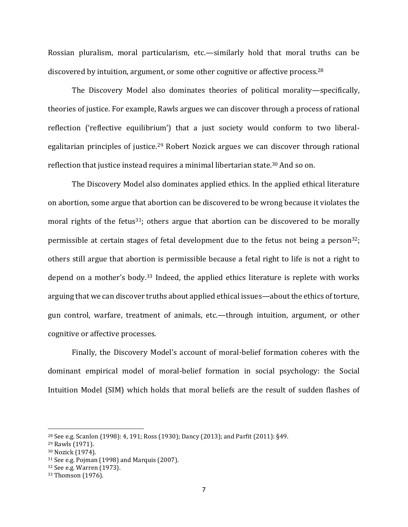Rossian pluralism, moral particularism, etc.—similarly hold that moral truths can be discovered by intuition, argument, or some other cognitive or affective process.<sup>28</sup>

The Discovery Model also dominates theories of political morality—specifically, theories of justice. For example, Rawls argues we can discover through a process of rational reflection ('reflective equilibrium') that a just society would conform to two liberalegalitarian principles of justice.<sup>29</sup> Robert Nozick argues we can discover through rational reflection that justice instead requires a minimal libertarian state.<sup>30</sup> And so on.

The Discovery Model also dominates applied ethics. In the applied ethical literature on abortion, some argue that abortion can be discovered to be wrong because it violates the moral rights of the fetus<sup>31</sup>; others argue that abortion can be discovered to be morally permissible at certain stages of fetal development due to the fetus not being a person<sup>32</sup>; others still argue that abortion is permissible because a fetal right to life is not a right to depend on a mother's body.<sup>33</sup> Indeed, the applied ethics literature is replete with works arguing that we can discover truths about applied ethical issues—about the ethics of torture, gun control, warfare, treatment of animals, etc.—through intuition, argument, or other cognitive or affective processes.

Finally, the Discovery Model's account of moral-belief formation coheres with the dominant empirical model of moral-belief formation in social psychology: the Social Intuition Model (SIM) which holds that moral beliefs are the result of sudden flashes of

<sup>28</sup> See e.g. Scanlon (1998): 4, 191; Ross (1930); Dancy (2013); and Parfit (2011): §49.

<sup>29</sup> Rawls (1971).

<sup>30</sup> Nozick (1974).

<sup>31</sup> See e.g. Pojman (1998) and Marquis (2007).

<sup>32</sup> See e.g. Warren (1973).

<sup>33</sup> Thomson (1976).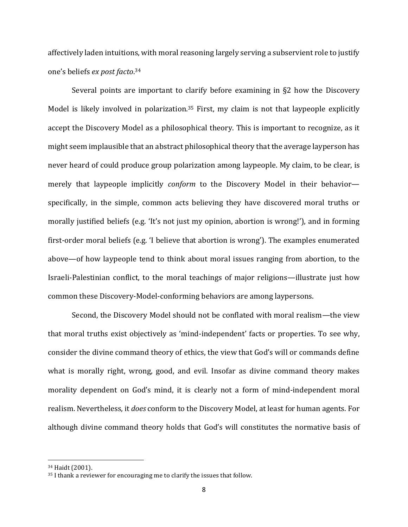affectively laden intuitions, with moral reasoning largely serving a subservient role to justify one's beliefs *ex post facto*. 34

Several points are important to clarify before examining in §2 how the Discovery Model is likely involved in polarization.<sup>35</sup> First, my claim is not that laypeople explicitly accept the Discovery Model as a philosophical theory. This is important to recognize, as it might seem implausible that an abstract philosophical theory that the average layperson has never heard of could produce group polarization among laypeople. My claim, to be clear, is merely that laypeople implicitly *conform* to the Discovery Model in their behavior specifically, in the simple, common acts believing they have discovered moral truths or morally justified beliefs (e.g. 'It's not just my opinion, abortion is wrong!'), and in forming first-order moral beliefs (e.g. 'I believe that abortion is wrong'). The examples enumerated above—of how laypeople tend to think about moral issues ranging from abortion, to the Israeli-Palestinian conflict, to the moral teachings of major religions—illustrate just how common these Discovery-Model-conforming behaviors are among laypersons.

Second, the Discovery Model should not be conflated with moral realism—the view that moral truths exist objectively as 'mind-independent' facts or properties. To see why, consider the divine command theory of ethics, the view that God's will or commands define what is morally right, wrong, good, and evil. Insofar as divine command theory makes morality dependent on God's mind, it is clearly not a form of mind-independent moral realism. Nevertheless, it *does* conform to the Discovery Model, at least for human agents. For although divine command theory holds that God's will constitutes the normative basis of

<sup>34</sup> Haidt (2001).

<sup>35</sup> I thank a reviewer for encouraging me to clarify the issues that follow.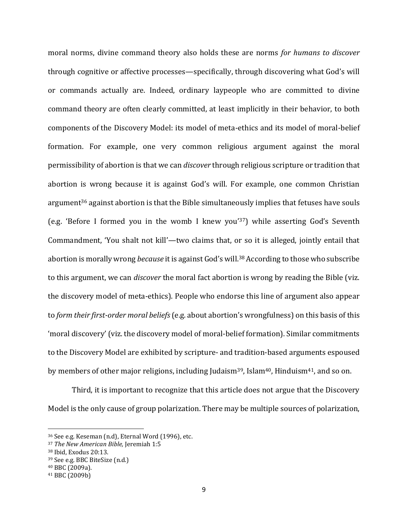moral norms, divine command theory also holds these are norms *for humans to discover* through cognitive or affective processes—specifically, through discovering what God's will or commands actually are. Indeed, ordinary laypeople who are committed to divine command theory are often clearly committed, at least implicitly in their behavior, to both components of the Discovery Model: its model of meta-ethics and its model of moral-belief formation. For example, one very common religious argument against the moral permissibility of abortion is that we can *discover* through religious scripture or tradition that abortion is wrong because it is against God's will. For example, one common Christian argument<sup>36</sup> against abortion is that the Bible simultaneously implies that fetuses have souls (e.g. 'Before I formed you in the womb I knew you'37) while asserting God's Seventh Commandment, 'You shalt not kill'—two claims that, or so it is alleged, jointly entail that abortion is morally wrong *because* it is against God's will.<sup>38</sup> According to those who subscribe to this argument, we can *discover* the moral fact abortion is wrong by reading the Bible (viz. the discovery model of meta-ethics). People who endorse this line of argument also appear to *form their first-order moral beliefs*(e.g. about abortion's wrongfulness) on this basis of this 'moral discovery' (viz. the discovery model of moral-belief formation). Similar commitments to the Discovery Model are exhibited by scripture- and tradition-based arguments espoused by members of other major religions, including Judaism<sup>39</sup>, Islam<sup>40</sup>, Hinduism<sup>41</sup>, and so on.

Third, it is important to recognize that this article does not argue that the Discovery Model is the only cause of group polarization. There may be multiple sources of polarization,

<sup>36</sup> See e.g. Keseman (n.d), Eternal Word (1996), etc.

<sup>37</sup> *The New American Bible,* Jeremiah 1:5

<sup>38</sup> Ibid, Exodus 20:13.

<sup>39</sup> See e.g. BBC BiteSize (n.d.)

<sup>40</sup> BBC (2009a).

<sup>41</sup> BBC (2009b)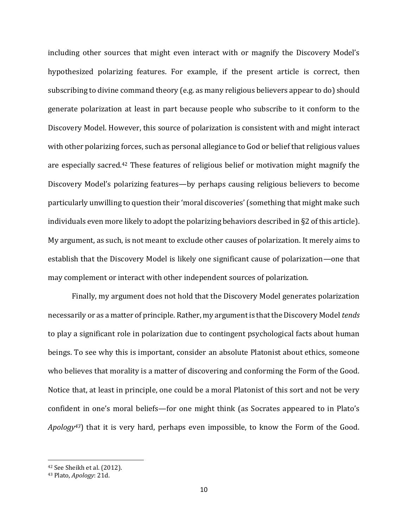including other sources that might even interact with or magnify the Discovery Model's hypothesized polarizing features. For example, if the present article is correct, then subscribing to divine command theory (e.g. as many religious believers appear to do) should generate polarization at least in part because people who subscribe to it conform to the Discovery Model. However, this source of polarization is consistent with and might interact with other polarizing forces, such as personal allegiance to God or belief that religious values are especially sacred.<sup>42</sup> These features of religious belief or motivation might magnify the Discovery Model's polarizing features—by perhaps causing religious believers to become particularly unwilling to question their 'moral discoveries' (something that might make such individuals even more likely to adopt the polarizing behaviors described in §2 of this article). My argument, as such, is not meant to exclude other causes of polarization. It merely aims to establish that the Discovery Model is likely one significant cause of polarization—one that may complement or interact with other independent sources of polarization.

Finally, my argument does not hold that the Discovery Model generates polarization necessarily or as a matter of principle. Rather, my argument is that the Discovery Model *tends* to play a significant role in polarization due to contingent psychological facts about human beings. To see why this is important, consider an absolute Platonist about ethics, someone who believes that morality is a matter of discovering and conforming the Form of the Good. Notice that, at least in principle, one could be a moral Platonist of this sort and not be very confident in one's moral beliefs—for one might think (as Socrates appeared to in Plato's *Apology43*) that it is very hard, perhaps even impossible, to know the Form of the Good.

<sup>42</sup> See Sheikh et al. (2012).

<sup>43</sup> Plato, *Apology*: 21d.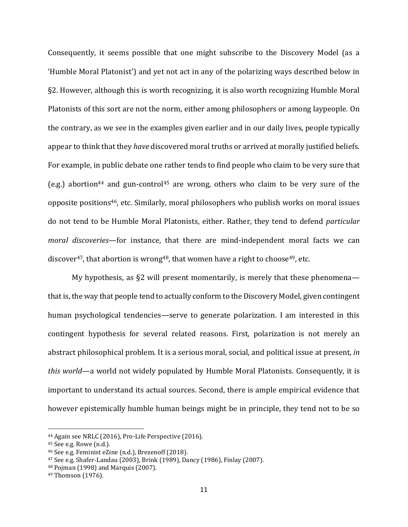Consequently, it seems possible that one might subscribe to the Discovery Model (as a 'Humble Moral Platonist') and yet not act in any of the polarizing ways described below in §2. However, although this is worth recognizing, it is also worth recognizing Humble Moral Platonists of this sort are not the norm, either among philosophers or among laypeople. On the contrary, as we see in the examples given earlier and in our daily lives, people typically appear to think that they *have* discovered moral truths or arrived at morally justified beliefs. For example, in public debate one rather tends to find people who claim to be very sure that (e.g.) abortion<sup>44</sup> and gun-control<sup>45</sup> are wrong, others who claim to be very sure of the opposite positions46, etc. Similarly, moral philosophers who publish works on moral issues do not tend to be Humble Moral Platonists, either. Rather, they tend to defend *particular moral discoveries*—for instance, that there are mind-independent moral facts we can discover<sup>47</sup>, that abortion is wrong<sup>48</sup>, that women have a right to choose<sup>49</sup>, etc.

My hypothesis, as  $\S2$  will present momentarily, is merely that these phenomena that is, the way that people tend to actually conform to the Discovery Model, given contingent human psychological tendencies—serve to generate polarization. I am interested in this contingent hypothesis for several related reasons. First, polarization is not merely an abstract philosophical problem. It is a serious moral, social, and political issue at present, *in this world*—a world not widely populated by Humble Moral Platonists. Consequently, it is important to understand its actual sources. Second, there is ample empirical evidence that however epistemically humble human beings might be in principle, they tend not to be so

<sup>44</sup> Again see NRLC (2016), Pro-Life Perspective (2016).

<sup>45</sup> See e.g. Rowe (n.d.).

<sup>46</sup> See e.g. Feminist eZine (n.d.), Brezenoff (2018).

<sup>47</sup> See e.g. Shafer-Landau (2003), Brink (1989), Dancy (1986), Finlay (2007).

<sup>48</sup> Pojman (1998) and Marquis (2007).

<sup>49</sup> Thomson (1976).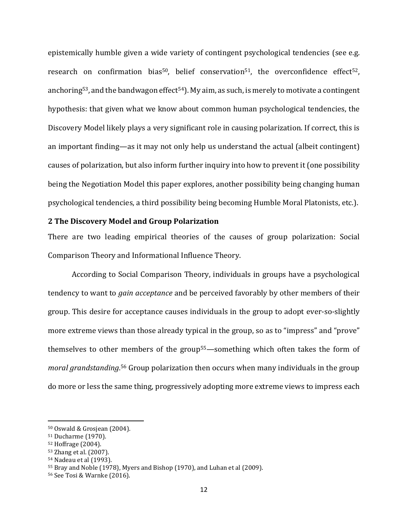epistemically humble given a wide variety of contingent psychological tendencies (see e.g. research on confirmation bias<sup>50</sup>, belief conservation<sup>51</sup>, the overconfidence effect<sup>52</sup>, anchoring<sup>53</sup>, and the bandwagon effect<sup>54</sup>). My aim, as such, is merely to motivate a contingent hypothesis: that given what we know about common human psychological tendencies, the Discovery Model likely plays a very significant role in causing polarization. If correct, this is an important finding—as it may not only help us understand the actual (albeit contingent) causes of polarization, but also inform further inquiry into how to prevent it (one possibility being the Negotiation Model this paper explores, another possibility being changing human psychological tendencies, a third possibility being becoming Humble Moral Platonists, etc.).

## **2 The Discovery Model and Group Polarization**

There are two leading empirical theories of the causes of group polarization: Social Comparison Theory and Informational Influence Theory.

According to Social Comparison Theory, individuals in groups have a psychological tendency to want to *gain acceptance* and be perceived favorably by other members of their group. This desire for acceptance causes individuals in the group to adopt ever-so-slightly more extreme views than those already typical in the group, so as to "impress" and "prove" themselves to other members of the group55—something which often takes the form of *moral grandstanding*. <sup>56</sup> Group polarization then occurs when many individuals in the group do more or less the same thing, progressively adopting more extreme views to impress each

<sup>50</sup> Oswald & Grosjean (2004).

<sup>51</sup> Ducharme (1970).

<sup>52</sup> Hoffrage (2004).

<sup>53</sup> Zhang et al. (2007).

<sup>54</sup> Nadeau et al (1993).

<sup>55</sup> Bray and Noble (1978), Myers and Bishop (1970), and Luhan et al (2009).

<sup>56</sup> See Tosi & Warnke (2016).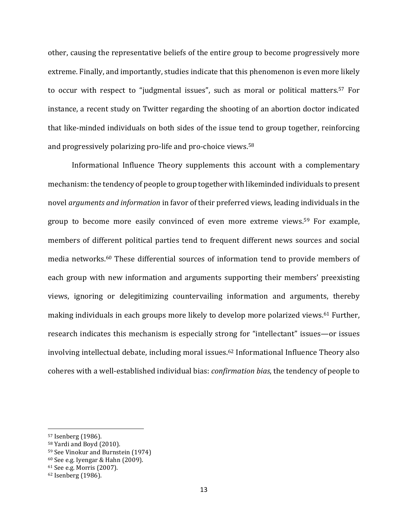other, causing the representative beliefs of the entire group to become progressively more extreme. Finally, and importantly, studies indicate that this phenomenon is even more likely to occur with respect to "judgmental issues", such as moral or political matters.<sup>57</sup> For instance, a recent study on Twitter regarding the shooting of an abortion doctor indicated that like-minded individuals on both sides of the issue tend to group together, reinforcing and progressively polarizing pro-life and pro-choice views.<sup>58</sup>

Informational Influence Theory supplements this account with a complementary mechanism: the tendency of people to group together with likeminded individuals to present novel *arguments and information* in favor of their preferred views, leading individuals in the group to become more easily convinced of even more extreme views. <sup>59</sup> For example, members of different political parties tend to frequent different news sources and social media networks. <sup>60</sup> These differential sources of information tend to provide members of each group with new information and arguments supporting their members' preexisting views, ignoring or delegitimizing countervailing information and arguments, thereby making individuals in each groups more likely to develop more polarized views. <sup>61</sup> Further, research indicates this mechanism is especially strong for "intellectant" issues—or issues involving intellectual debate, including moral issues. <sup>62</sup> Informational Influence Theory also coheres with a well-established individual bias: *confirmation bias*, the tendency of people to

<sup>57</sup> Isenberg (1986).

<sup>58</sup> Yardi and Boyd (2010).

<sup>59</sup> See Vinokur and Burnstein (1974)

<sup>60</sup> See e.g. Iyengar & Hahn (2009).

<sup>61</sup> See e.g. Morris (2007).

<sup>62</sup> Isenberg (1986).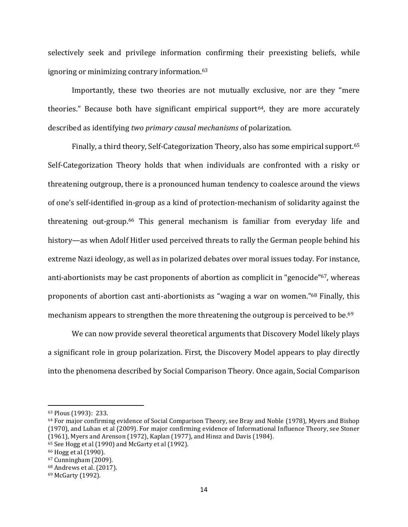selectively seek and privilege information confirming their preexisting beliefs, while ignoring or minimizing contrary information.<sup>63</sup>

Importantly, these two theories are not mutually exclusive, nor are they "mere theories." Because both have significant empirical support<sup>64</sup>, they are more accurately described as identifying *two primary causal mechanisms* of polarization.

Finally, a third theory, Self-Categorization Theory, also has some empirical support.<sup>65</sup> Self-Categorization Theory holds that when individuals are confronted with a risky or threatening outgroup, there is a pronounced human tendency to coalesce around the views of one's self-identified in-group as a kind of protection-mechanism of solidarity against the threatening out-group. <sup>66</sup> This general mechanism is familiar from everyday life and history—as when Adolf Hitler used perceived threats to rally the German people behind his extreme Nazi ideology, as well as in polarized debates over moral issues today. For instance, anti-abortionists may be cast proponents of abortion as complicit in "genocide" <sup>67</sup>, whereas proponents of abortion cast anti-abortionists as "waging a war on women." <sup>68</sup> Finally, this mechanism appears to strengthen the more threatening the outgroup is perceived to be.<sup>69</sup>

We can now provide several theoretical arguments that Discovery Model likely plays a significant role in group polarization. First, the Discovery Model appears to play directly into the phenomena described by Social Comparison Theory. Once again, Social Comparison

l

<sup>63</sup> Plous (1993): 233.

<sup>64</sup> For major confirming evidence of Social Comparison Theory, see Bray and Noble (1978), Myers and Bishop (1970), and Luhan et al (2009). For major confirming evidence of Informational Influence Theory, see Stoner (1961), Myers and Arenson (1972), Kaplan (1977), and Hinsz and Davis (1984).

<sup>65</sup> See Hogg et al (1990) and McGarty et al (1992).

<sup>66</sup> Hogg et al (1990).

<sup>67</sup> Cunningham (2009).

<sup>68</sup> Andrews et al. (2017).

<sup>69</sup> McGarty (1992).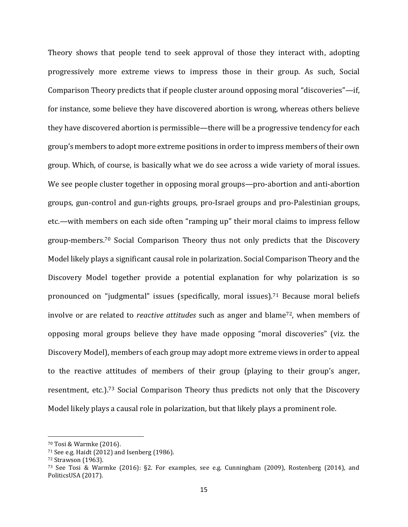Theory shows that people tend to seek approval of those they interact with, adopting progressively more extreme views to impress those in their group. As such, Social Comparison Theory predicts that if people cluster around opposing moral "discoveries"—if, for instance, some believe they have discovered abortion is wrong, whereas others believe they have discovered abortion is permissible—there will be a progressive tendency for each group's members to adopt more extreme positions in order to impress members of their own group. Which, of course, is basically what we do see across a wide variety of moral issues. We see people cluster together in opposing moral groups—pro-abortion and anti-abortion groups, gun-control and gun-rights groups, pro-Israel groups and pro-Palestinian groups, etc.—with members on each side often "ramping up" their moral claims to impress fellow group-members. <sup>70</sup> Social Comparison Theory thus not only predicts that the Discovery Model likely plays a significant causal role in polarization. Social Comparison Theory and the Discovery Model together provide a potential explanation for why polarization is so pronounced on "judgmental" issues (specifically, moral issues). <sup>71</sup> Because moral beliefs involve or are related to *reactive attitudes* such as anger and blame<sup>72</sup>, when members of opposing moral groups believe they have made opposing "moral discoveries" (viz. the Discovery Model), members of each group may adopt more extreme views in order to appeal to the reactive attitudes of members of their group (playing to their group's anger, resentment, etc.).<sup>73</sup> Social Comparison Theory thus predicts not only that the Discovery Model likely plays a causal role in polarization, but that likely plays a prominent role.

<sup>70</sup> Tosi & Warmke (2016).

<sup>71</sup> See e.g. Haidt (2012) and Isenberg (1986).

<sup>72</sup> Strawson (1963).

<sup>73</sup> See Tosi & Warmke (2016): §2. For examples, see e.g. Cunningham (2009), Rostenberg (2014), and PoliticsUSA (2017).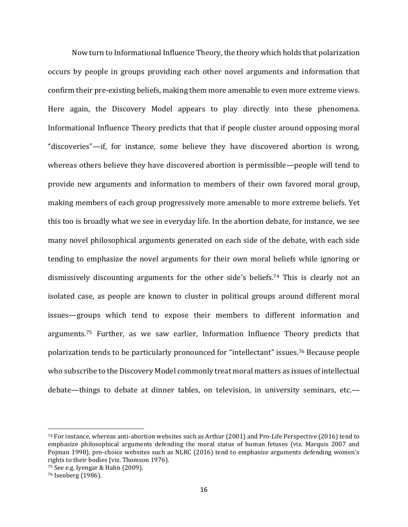Now turn to Informational Influence Theory, the theory which holds that polarization occurs by people in groups providing each other novel arguments and information that confirm their pre-existing beliefs, making them more amenable to even more extreme views. Here again, the Discovery Model appears to play directly into these phenomena. Informational Influence Theory predicts that that if people cluster around opposing moral "discoveries"—if, for instance, some believe they have discovered abortion is wrong, whereas others believe they have discovered abortion is permissible—people will tend to provide new arguments and information to members of their own favored moral group, making members of each group progressively more amenable to more extreme beliefs. Yet this too is broadly what we see in everyday life. In the abortion debate, for instance, we see many novel philosophical arguments generated on each side of the debate, with each side tending to emphasize the novel arguments for their own moral beliefs while ignoring or dismissively discounting arguments for the other side's beliefs. <sup>74</sup> This is clearly not an isolated case, as people are known to cluster in political groups around different moral issues—groups which tend to expose their members to different information and arguments.<sup>75</sup> Further, as we saw earlier, Information Influence Theory predicts that polarization tends to be particularly pronounced for "intellectant" issues. <sup>76</sup> Because people who subscribe to the Discovery Model commonly treat moral matters as issues of intellectual debate—things to debate at dinner tables, on television, in university seminars, etc.—

<sup>74</sup> For instance, whereas anti-abortion websites such as Arthur (2001) and Pro-Life Perspective (2016) tend to emphasize philosophical arguments defending the moral status of human fetuses (viz. Marquis 2007 and Pojman 1998), pro-choice websites such as NLRC (2016) tend to emphasize arguments defending women's rights to their bodies (viz. Thomson 1976).

<sup>75</sup> See e.g. Iyengar & Hahn (2009).

<sup>76</sup> Isenberg (1986).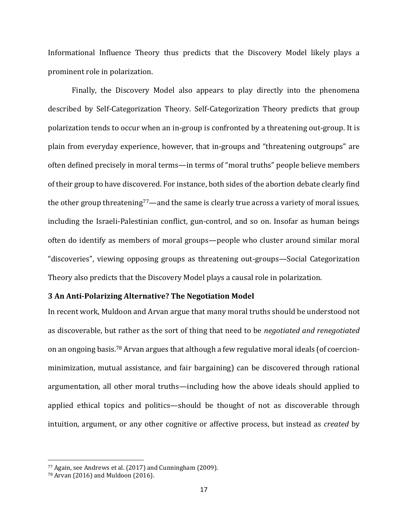Informational Influence Theory thus predicts that the Discovery Model likely plays a prominent role in polarization.

Finally, the Discovery Model also appears to play directly into the phenomena described by Self-Categorization Theory. Self-Categorization Theory predicts that group polarization tends to occur when an in-group is confronted by a threatening out-group. It is plain from everyday experience, however, that in-groups and "threatening outgroups" are often defined precisely in moral terms—in terms of "moral truths" people believe members of their group to have discovered. For instance, both sides of the abortion debate clearly find the other group threatening<sup>77</sup>—and the same is clearly true across a variety of moral issues, including the Israeli-Palestinian conflict, gun-control, and so on. Insofar as human beings often do identify as members of moral groups—people who cluster around similar moral "discoveries", viewing opposing groups as threatening out-groups—Social Categorization Theory also predicts that the Discovery Model plays a causal role in polarization.

## **3 An Anti-Polarizing Alternative? The Negotiation Model**

In recent work, Muldoon and Arvan argue that many moral truths should be understood not as discoverable, but rather as the sort of thing that need to be *negotiated and renegotiated* on an ongoing basis.<sup>78</sup> Arvan argues that although a few regulative moral ideals (of coercionminimization, mutual assistance, and fair bargaining) can be discovered through rational argumentation, all other moral truths—including how the above ideals should applied to applied ethical topics and politics—should be thought of not as discoverable through intuition, argument, or any other cognitive or affective process, but instead as *created* by

<sup>77</sup> Again, see Andrews et al. (2017) and Cunningham (2009).

<sup>78</sup> Arvan (2016) and Muldoon (2016).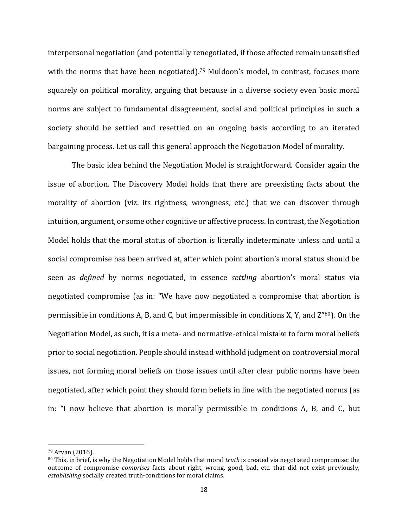interpersonal negotiation (and potentially renegotiated, if those affected remain unsatisfied with the norms that have been negotiated).<sup>79</sup> Muldoon's model, in contrast, focuses more squarely on political morality, arguing that because in a diverse society even basic moral norms are subject to fundamental disagreement, social and political principles in such a society should be settled and resettled on an ongoing basis according to an iterated bargaining process. Let us call this general approach the Negotiation Model of morality.

The basic idea behind the Negotiation Model is straightforward. Consider again the issue of abortion. The Discovery Model holds that there are preexisting facts about the morality of abortion (viz. its rightness, wrongness, etc.) that we can discover through intuition, argument, or some other cognitive or affective process. In contrast, the Negotiation Model holds that the moral status of abortion is literally indeterminate unless and until a social compromise has been arrived at, after which point abortion's moral status should be seen as *defined* by norms negotiated, in essence *settling* abortion's moral status via negotiated compromise (as in: "We have now negotiated a compromise that abortion is permissible in conditions A, B, and C, but impermissible in conditions X, Y, and Z" <sup>80</sup>). On the Negotiation Model, as such, it is a meta- and normative-ethical mistake to form moral beliefs prior to social negotiation. People should instead withhold judgment on controversial moral issues, not forming moral beliefs on those issues until after clear public norms have been negotiated, after which point they should form beliefs in line with the negotiated norms (as in: "I now believe that abortion is morally permissible in conditions A, B, and C, but

<sup>79</sup> Arvan (2016).

<sup>80</sup> This, in brief, is why the Negotiation Model holds that moral *truth* is created via negotiated compromise: the outcome of compromise *comprises* facts about right, wrong, good, bad, etc. that did not exist previously, *establishing* socially created truth-conditions for moral claims.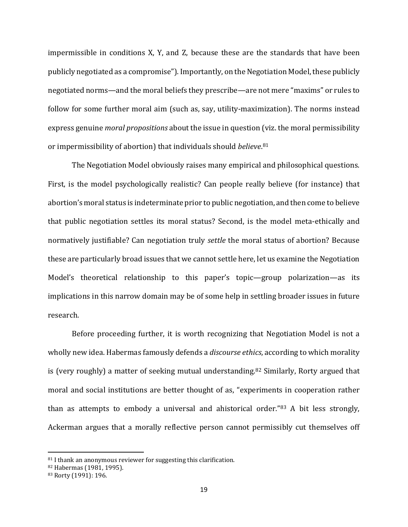impermissible in conditions X, Y, and Z, because these are the standards that have been publicly negotiated as a compromise"). Importantly, on the Negotiation Model, these publicly negotiated norms—and the moral beliefs they prescribe—are not mere "maxims" or rules to follow for some further moral aim (such as, say, utility-maximization). The norms instead express genuine *moral propositions* about the issue in question (viz. the moral permissibility or impermissibility of abortion) that individuals should *believe*. 81

The Negotiation Model obviously raises many empirical and philosophical questions. First, is the model psychologically realistic? Can people really believe (for instance) that abortion's moral status is indeterminate prior to public negotiation, and then come to believe that public negotiation settles its moral status? Second, is the model meta-ethically and normatively justifiable? Can negotiation truly *settle* the moral status of abortion? Because these are particularly broad issues that we cannot settle here, let us examine the Negotiation Model's theoretical relationship to this paper's topic—group polarization—as its implications in this narrow domain may be of some help in settling broader issues in future research.

Before proceeding further, it is worth recognizing that Negotiation Model is not a wholly new idea. Habermas famously defends a *discourse ethics*, according to which morality is (very roughly) a matter of seeking mutual understanding.<sup>82</sup> Similarly, Rorty argued that moral and social institutions are better thought of as, "experiments in cooperation rather than as attempts to embody a universal and ahistorical order."<sup>83</sup> A bit less strongly, Ackerman argues that a morally reflective person cannot permissibly cut themselves off

 $81$  I thank an anonymous reviewer for suggesting this clarification.

<sup>82</sup> Habermas (1981, 1995).

<sup>83</sup> Rorty (1991): 196.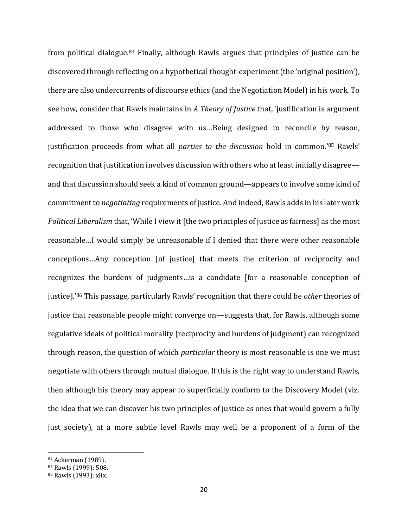from political dialogue.<sup>84</sup> Finally, although Rawls argues that principles of justice can be discovered through reflecting on a hypothetical thought-experiment (the 'original position'), there are also undercurrents of discourse ethics (and the Negotiation Model) in his work. To see how, consider that Rawls maintains in *A Theory of Justice* that, 'justification is argument addressed to those who disagree with us…Being designed to reconcile by reason, justification proceeds from what all *parties to the discussion* hold in common.' <sup>85</sup> Rawls' recognition that justification involves discussion with others who at least initially disagree and that discussion should seek a kind of common ground—appears to involve some kind of commitment to *negotiating* requirements of justice. And indeed, Rawls adds in his later work *Political Liberalism* that, 'While I view it [the two principles of justice as fairness] as the most reasonable…I would simply be unreasonable if I denied that there were other reasonable conceptions…Any conception [of justice] that meets the criterion of reciprocity and recognizes the burdens of judgments…is a candidate [for a reasonable conception of justice].'<sup>86</sup> This passage, particularly Rawls' recognition that there could be *other* theories of justice that reasonable people might converge on—suggests that, for Rawls, although some regulative ideals of political morality (reciprocity and burdens of judgment) can recognized through reason, the question of which *particular* theory is most reasonable is one we must negotiate with others through mutual dialogue. If this is the right way to understand Rawls, then although his theory may appear to superficially conform to the Discovery Model (viz. the idea that we can discover his two principles of justice as ones that would govern a fully just society), at a more subtle level Rawls may well be a proponent of a form of the

<sup>84</sup> Ackerman (1989).

<sup>85</sup> Rawls (1999): 508.

<sup>86</sup> Rawls (1993): xlix.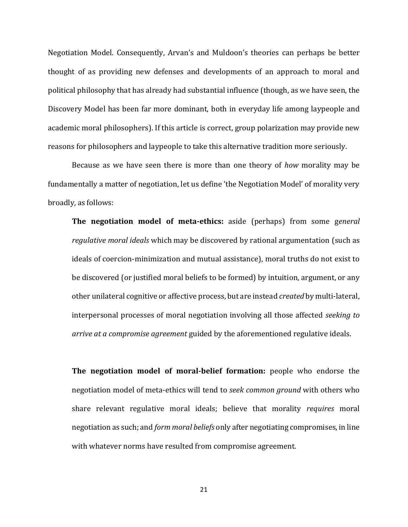Negotiation Model. Consequently, Arvan's and Muldoon's theories can perhaps be better thought of as providing new defenses and developments of an approach to moral and political philosophy that has already had substantial influence (though, as we have seen, the Discovery Model has been far more dominant, both in everyday life among laypeople and academic moral philosophers). If this article is correct, group polarization may provide new reasons for philosophers and laypeople to take this alternative tradition more seriously.

Because as we have seen there is more than one theory of *how* morality may be fundamentally a matter of negotiation, let us define 'the Negotiation Model' of morality very broadly, as follows:

**The negotiation model of meta-ethics:** aside (perhaps) from some g*eneral regulative moral ideals* which may be discovered by rational argumentation (such as ideals of coercion-minimization and mutual assistance), moral truths do not exist to be discovered (or justified moral beliefs to be formed) by intuition, argument, or any other unilateral cognitive or affective process, but are instead *created* by multi-lateral, interpersonal processes of moral negotiation involving all those affected *seeking to arrive at a compromise agreement* guided by the aforementioned regulative ideals.

**The negotiation model of moral-belief formation:** people who endorse the negotiation model of meta-ethics will tend to *seek common ground* with others who share relevant regulative moral ideals; believe that morality *requires* moral negotiation as such; and *form moral beliefs* only after negotiating compromises, in line with whatever norms have resulted from compromise agreement.

21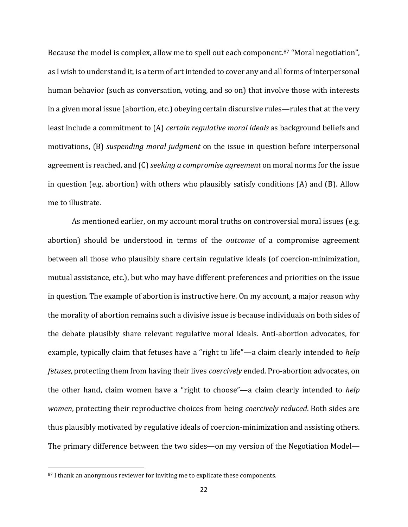Because the model is complex, allow me to spell out each component.<sup>87</sup> "Moral negotiation", as I wish to understand it, is a term of art intended to cover any and all forms of interpersonal human behavior (such as conversation, voting, and so on) that involve those with interests in a given moral issue (abortion, etc.) obeying certain discursive rules—rules that at the very least include a commitment to (A) *certain regulative moral ideals* as background beliefs and motivations, (B) *suspending moral judgment* on the issue in question before interpersonal agreement is reached, and (C) *seeking a compromise agreement* on moral norms for the issue in question (e.g. abortion) with others who plausibly satisfy conditions (A) and (B). Allow me to illustrate.

As mentioned earlier, on my account moral truths on controversial moral issues (e.g. abortion) should be understood in terms of the *outcome* of a compromise agreement between all those who plausibly share certain regulative ideals (of coercion-minimization, mutual assistance, etc.), but who may have different preferences and priorities on the issue in question. The example of abortion is instructive here. On my account, a major reason why the morality of abortion remains such a divisive issue is because individuals on both sides of the debate plausibly share relevant regulative moral ideals. Anti-abortion advocates, for example, typically claim that fetuses have a "right to life"—a claim clearly intended to *help fetuses*, protecting them from having their lives *coercively* ended. Pro-abortion advocates, on the other hand, claim women have a "right to choose"—a claim clearly intended to *help women*, protecting their reproductive choices from being *coercively reduced*. Both sides are thus plausibly motivated by regulative ideals of coercion-minimization and assisting others. The primary difference between the two sides—on my version of the Negotiation Model—

<sup>87</sup> I thank an anonymous reviewer for inviting me to explicate these components.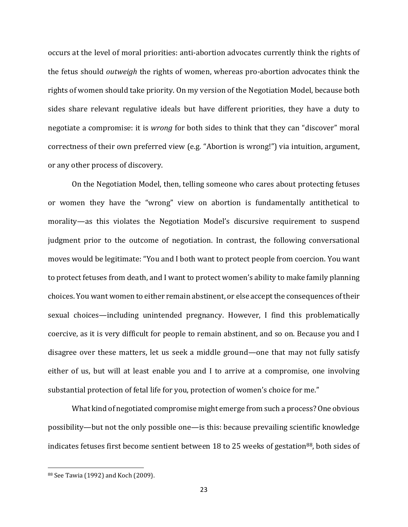occurs at the level of moral priorities: anti-abortion advocates currently think the rights of the fetus should *outweigh* the rights of women, whereas pro-abortion advocates think the rights of women should take priority. On my version of the Negotiation Model, because both sides share relevant regulative ideals but have different priorities, they have a duty to negotiate a compromise: it is *wrong* for both sides to think that they can "discover" moral correctness of their own preferred view (e.g. "Abortion is wrong!") via intuition, argument, or any other process of discovery.

On the Negotiation Model, then, telling someone who cares about protecting fetuses or women they have the "wrong" view on abortion is fundamentally antithetical to morality—as this violates the Negotiation Model's discursive requirement to suspend judgment prior to the outcome of negotiation. In contrast, the following conversational moves would be legitimate: "You and I both want to protect people from coercion. You want to protect fetuses from death, and I want to protect women's ability to make family planning choices. You want women to either remain abstinent, or else accept the consequences of their sexual choices—including unintended pregnancy. However, I find this problematically coercive, as it is very difficult for people to remain abstinent, and so on. Because you and I disagree over these matters, let us seek a middle ground—one that may not fully satisfy either of us, but will at least enable you and I to arrive at a compromise, one involving substantial protection of fetal life for you, protection of women's choice for me."

What kind of negotiated compromise might emerge from such a process? One obvious possibility—but not the only possible one—is this: because prevailing scientific knowledge indicates fetuses first become sentient between 18 to 25 weeks of gestation<sup>88</sup>, both sides of

<sup>88</sup> See Tawia (1992) and Koch (2009).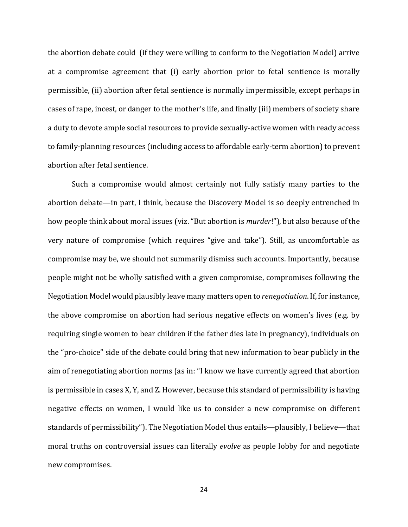the abortion debate could (if they were willing to conform to the Negotiation Model) arrive at a compromise agreement that (i) early abortion prior to fetal sentience is morally permissible, (ii) abortion after fetal sentience is normally impermissible, except perhaps in cases of rape, incest, or danger to the mother's life, and finally (iii) members of society share a duty to devote ample social resources to provide sexually-active women with ready access to family-planning resources (including access to affordable early-term abortion) to prevent abortion after fetal sentience.

Such a compromise would almost certainly not fully satisfy many parties to the abortion debate—in part, I think, because the Discovery Model is so deeply entrenched in how people think about moral issues (viz. "But abortion is *murder*!"), but also because of the very nature of compromise (which requires "give and take"). Still, as uncomfortable as compromise may be, we should not summarily dismiss such accounts. Importantly, because people might not be wholly satisfied with a given compromise, compromises following the Negotiation Model would plausibly leave many matters open to *renegotiation*. If, for instance, the above compromise on abortion had serious negative effects on women's lives (e.g. by requiring single women to bear children if the father dies late in pregnancy), individuals on the "pro-choice" side of the debate could bring that new information to bear publicly in the aim of renegotiating abortion norms (as in: "I know we have currently agreed that abortion is permissible in cases X, Y, and Z. However, because this standard of permissibility is having negative effects on women, I would like us to consider a new compromise on different standards of permissibility"). The Negotiation Model thus entails—plausibly, I believe—that moral truths on controversial issues can literally *evolve* as people lobby for and negotiate new compromises.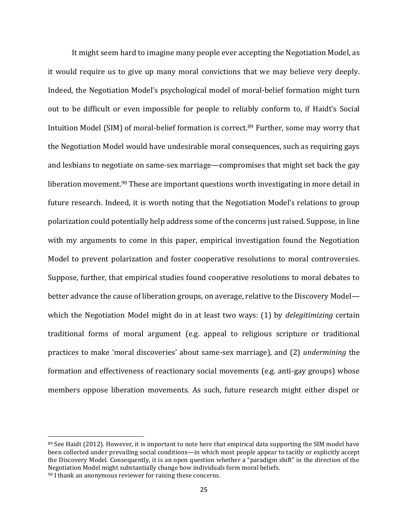It might seem hard to imagine many people ever accepting the Negotiation Model, as it would require us to give up many moral convictions that we may believe very deeply. Indeed, the Negotiation Model's psychological model of moral-belief formation might turn out to be difficult or even impossible for people to reliably conform to, if Haidt's Social Intuition Model (SIM) of moral-belief formation is correct.<sup>89</sup> Further, some may worry that the Negotiation Model would have undesirable moral consequences, such as requiring gays and lesbians to negotiate on same-sex marriage—compromises that might set back the gay liberation movement.<sup>90</sup> These are important questions worth investigating in more detail in future research. Indeed, it is worth noting that the Negotiation Model's relations to group polarization could potentially help address some of the concerns just raised. Suppose, in line with my arguments to come in this paper, empirical investigation found the Negotiation Model to prevent polarization and foster cooperative resolutions to moral controversies. Suppose, further, that empirical studies found cooperative resolutions to moral debates to better advance the cause of liberation groups, on average, relative to the Discovery Model which the Negotiation Model might do in at least two ways: (1) by *delegitimizing* certain traditional forms of moral argument (e.g. appeal to religious scripture or traditional practices to make 'moral discoveries' about same-sex marriage), and (2) *undermining* the formation and effectiveness of reactionary social movements (e.g. anti-gay groups) whose members oppose liberation movements. As such, future research might either dispel or

<sup>89</sup> See Haidt (2012). However, it is important to note here that empirical data supporting the SIM model have been collected under prevailing social conditions—in which most people appear to tacitly or explicitly accept the Discovery Model. Consequently, it is an open question whether a "paradigm shift" in the direction of the Negotiation Model might substantially change how individuals form moral beliefs.

<sup>90</sup> I thank an anonymous reviewer for raising these concerns.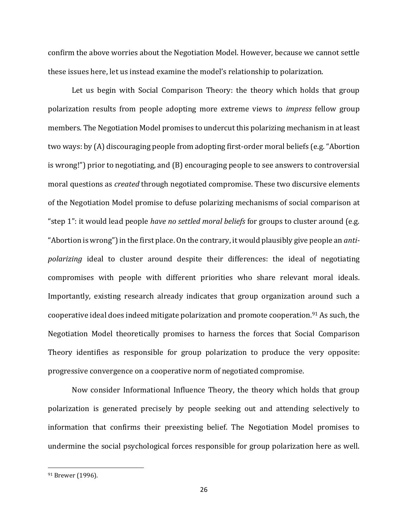confirm the above worries about the Negotiation Model. However, because we cannot settle these issues here, let us instead examine the model's relationship to polarization.

Let us begin with Social Comparison Theory: the theory which holds that group polarization results from people adopting more extreme views to *impress* fellow group members. The Negotiation Model promises to undercut this polarizing mechanism in at least two ways: by (A) discouraging people from adopting first-order moral beliefs (e.g. "Abortion is wrong!") prior to negotiating, and (B) encouraging people to see answers to controversial moral questions as *created* through negotiated compromise. These two discursive elements of the Negotiation Model promise to defuse polarizing mechanisms of social comparison at "step 1": it would lead people *have no settled moral beliefs* for groups to cluster around (e.g. "Abortion is wrong") in the first place. On the contrary, it would plausibly give people an *antipolarizing* ideal to cluster around despite their differences: the ideal of negotiating compromises with people with different priorities who share relevant moral ideals. Importantly, existing research already indicates that group organization around such a cooperative ideal does indeed mitigate polarization and promote cooperation.<sup>91</sup> As such, the Negotiation Model theoretically promises to harness the forces that Social Comparison Theory identifies as responsible for group polarization to produce the very opposite: progressive convergence on a cooperative norm of negotiated compromise.

Now consider Informational Influence Theory, the theory which holds that group polarization is generated precisely by people seeking out and attending selectively to information that confirms their preexisting belief. The Negotiation Model promises to undermine the social psychological forces responsible for group polarization here as well.

<sup>&</sup>lt;sup>91</sup> Brewer (1996).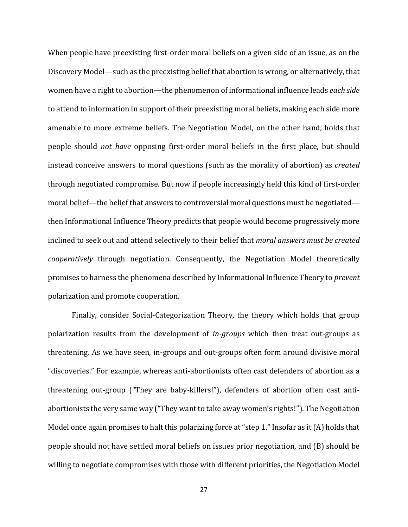When people have preexisting first-order moral beliefs on a given side of an issue, as on the Discovery Model—such as the preexisting belief that abortion is wrong, or alternatively, that women have a right to abortion—the phenomenon of informational influence leads *each side* to attend to information in support of their preexisting moral beliefs, making each side more amenable to more extreme beliefs. The Negotiation Model, on the other hand, holds that people should *not have* opposing first-order moral beliefs in the first place, but should instead conceive answers to moral questions (such as the morality of abortion) as *created* through negotiated compromise. But now if people increasingly held this kind of first-order moral belief—the belief that answers to controversial moral questions must be negotiated then Informational Influence Theory predicts that people would become progressively more inclined to seek out and attend selectively to their belief that *moral answers must be created cooperatively* through negotiation. Consequently, the Negotiation Model theoretically promises to harness the phenomena described by Informational Influence Theory to *prevent* polarization and promote cooperation.

Finally, consider Social-Categorization Theory, the theory which holds that group polarization results from the development of *in-groups* which then treat out-groups as threatening. As we have seen, in-groups and out-groups often form around divisive moral "discoveries." For example, whereas anti-abortionists often cast defenders of abortion as a threatening out-group ("They are baby-killers!"), defenders of abortion often cast antiabortionists the very same way ("They want to take away women's rights!"). The Negotiation Model once again promises to halt this polarizing force at "step 1." Insofar as it (A) holds that people should not have settled moral beliefs on issues prior negotiation, and (B) should be willing to negotiate compromises with those with different priorities, the Negotiation Model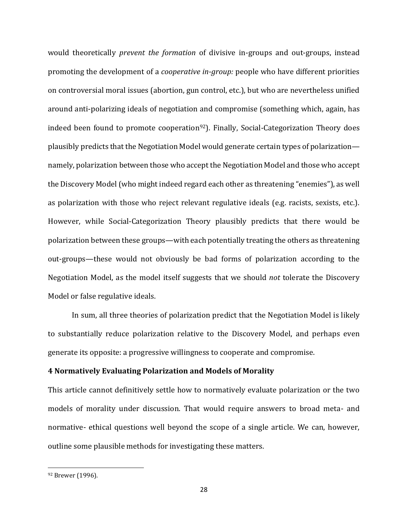would theoretically *prevent the formation* of divisive in-groups and out-groups, instead promoting the development of a *cooperative in-group:* people who have different priorities on controversial moral issues (abortion, gun control, etc.), but who are nevertheless unified around anti-polarizing ideals of negotiation and compromise (something which, again, has indeed been found to promote cooperation<sup>92</sup>). Finally, Social-Categorization Theory does plausibly predicts that the Negotiation Model would generate certain types of polarization namely, polarization between those who accept the Negotiation Model and those who accept the Discovery Model (who might indeed regard each other as threatening "enemies"), as well as polarization with those who reject relevant regulative ideals (e.g. racists, sexists, etc.). However, while Social-Categorization Theory plausibly predicts that there would be polarization between these groups—with each potentially treating the others as threatening out-groups—these would not obviously be bad forms of polarization according to the Negotiation Model, as the model itself suggests that we should *not* tolerate the Discovery Model or false regulative ideals.

In sum, all three theories of polarization predict that the Negotiation Model is likely to substantially reduce polarization relative to the Discovery Model, and perhaps even generate its opposite: a progressive willingness to cooperate and compromise.

## **4 Normatively Evaluating Polarization and Models of Morality**

This article cannot definitively settle how to normatively evaluate polarization or the two models of morality under discussion. That would require answers to broad meta- and normative- ethical questions well beyond the scope of a single article. We can, however, outline some plausible methods for investigating these matters.

<sup>92</sup> Brewer (1996).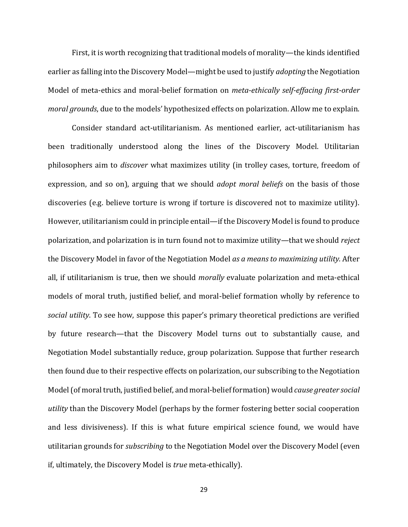First, it is worth recognizing that traditional models of morality—the kinds identified earlier as falling into the Discovery Model—might be used to justify *adopting* the Negotiation Model of meta-ethics and moral-belief formation on *meta-ethically self-effacing first-order moral grounds*, due to the models' hypothesized effects on polarization. Allow me to explain.

Consider standard act-utilitarianism. As mentioned earlier, act-utilitarianism has been traditionally understood along the lines of the Discovery Model. Utilitarian philosophers aim to *discover* what maximizes utility (in trolley cases, torture, freedom of expression, and so on), arguing that we should *adopt moral beliefs* on the basis of those discoveries (e.g. believe torture is wrong if torture is discovered not to maximize utility). However, utilitarianism could in principle entail—if the Discovery Model is found to produce polarization, and polarization is in turn found not to maximize utility—that we should *reject* the Discovery Model in favor of the Negotiation Model *as a means to maximizing utility.* After all, if utilitarianism is true, then we should *morally* evaluate polarization and meta-ethical models of moral truth, justified belief, and moral-belief formation wholly by reference to *social utility*. To see how, suppose this paper's primary theoretical predictions are verified by future research—that the Discovery Model turns out to substantially cause, and Negotiation Model substantially reduce, group polarization. Suppose that further research then found due to their respective effects on polarization, our subscribing to the Negotiation Model (of moral truth, justified belief, and moral-belief formation) would *cause greater social utility* than the Discovery Model (perhaps by the former fostering better social cooperation and less divisiveness). If this is what future empirical science found, we would have utilitarian grounds for *subscribing* to the Negotiation Model over the Discovery Model (even if, ultimately, the Discovery Model is *true* meta-ethically).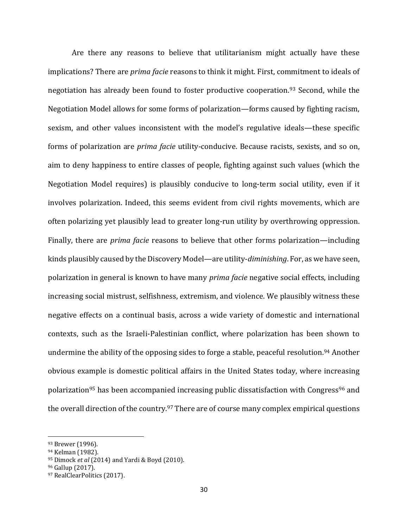Are there any reasons to believe that utilitarianism might actually have these implications? There are *prima facie* reasons to think it might. First, commitment to ideals of negotiation has already been found to foster productive cooperation.<sup>93</sup> Second, while the Negotiation Model allows for some forms of polarization—forms caused by fighting racism, sexism, and other values inconsistent with the model's regulative ideals—these specific forms of polarization are *prima facie* utility-conducive. Because racists, sexists, and so on, aim to deny happiness to entire classes of people, fighting against such values (which the Negotiation Model requires) is plausibly conducive to long-term social utility, even if it involves polarization. Indeed, this seems evident from civil rights movements, which are often polarizing yet plausibly lead to greater long-run utility by overthrowing oppression. Finally, there are *prima facie* reasons to believe that other forms polarization—including kinds plausibly caused by the Discovery Model—are utility-*diminishing*. For, as we have seen, polarization in general is known to have many *prima facie* negative social effects, including increasing social mistrust, selfishness, extremism, and violence. We plausibly witness these negative effects on a continual basis, across a wide variety of domestic and international contexts, such as the Israeli-Palestinian conflict, where polarization has been shown to undermine the ability of the opposing sides to forge a stable, peaceful resolution.<sup>94</sup> Another obvious example is domestic political affairs in the United States today, where increasing polarization<sup>95</sup> has been accompanied increasing public dissatisfaction with Congress<sup>96</sup> and the overall direction of the country.<sup>97</sup> There are of course many complex empirical questions

<sup>93</sup> Brewer (1996).

<sup>94</sup> Kelman (1982).

<sup>95</sup> Dimock *et al* (2014) and Yardi & Boyd (2010).

<sup>96</sup> Gallup (2017).

<sup>97</sup> RealClearPolitics (2017).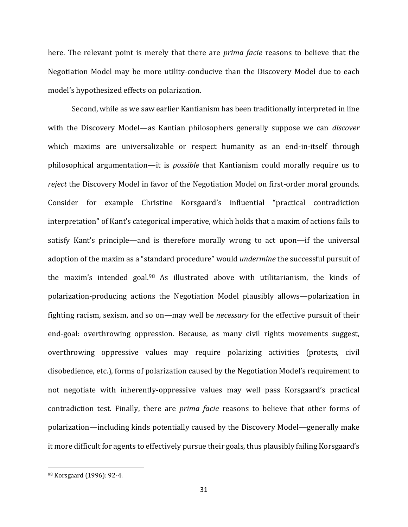here. The relevant point is merely that there are *prima facie* reasons to believe that the Negotiation Model may be more utility-conducive than the Discovery Model due to each model's hypothesized effects on polarization.

Second, while as we saw earlier Kantianism has been traditionally interpreted in line with the Discovery Model—as Kantian philosophers generally suppose we can *discover* which maxims are universalizable or respect humanity as an end-in-itself through philosophical argumentation—it is *possible* that Kantianism could morally require us to *reject* the Discovery Model in favor of the Negotiation Model on first-order moral grounds. Consider for example Christine Korsgaard's influential "practical contradiction interpretation" of Kant's categorical imperative, which holds that a maxim of actions fails to satisfy Kant's principle—and is therefore morally wrong to act upon—if the universal adoption of the maxim as a "standard procedure" would *undermine* the successful pursuit of the maxim's intended goal.<sup>98</sup> As illustrated above with utilitarianism, the kinds of polarization-producing actions the Negotiation Model plausibly allows—polarization in fighting racism, sexism, and so on—may well be *necessary* for the effective pursuit of their end-goal: overthrowing oppression. Because, as many civil rights movements suggest, overthrowing oppressive values may require polarizing activities (protests, civil disobedience, etc.), forms of polarization caused by the Negotiation Model's requirement to not negotiate with inherently-oppressive values may well pass Korsgaard's practical contradiction test. Finally, there are *prima facie* reasons to believe that other forms of polarization—including kinds potentially caused by the Discovery Model—generally make it more difficult for agents to effectively pursue their goals, thus plausibly failing Korsgaard's

<sup>98</sup> Korsgaard (1996): 92-4.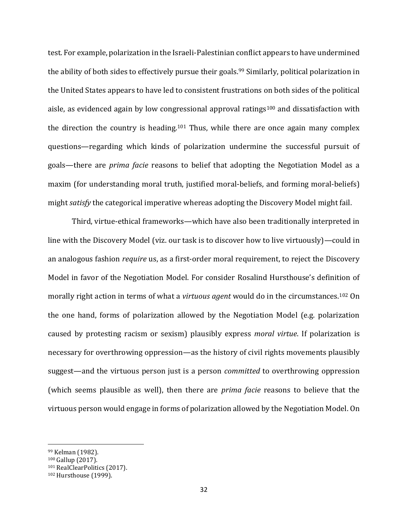test. For example, polarization in the Israeli-Palestinian conflict appears to have undermined the ability of both sides to effectively pursue their goals.<sup>99</sup> Similarly, political polarization in the United States appears to have led to consistent frustrations on both sides of the political aisle, as evidenced again by low congressional approval ratings<sup>100</sup> and dissatisfaction with the direction the country is heading.<sup>101</sup> Thus, while there are once again many complex questions—regarding which kinds of polarization undermine the successful pursuit of goals—there are *prima facie* reasons to belief that adopting the Negotiation Model as a maxim (for understanding moral truth, justified moral-beliefs, and forming moral-beliefs) might *satisfy* the categorical imperative whereas adopting the Discovery Model might fail.

Third, virtue-ethical frameworks—which have also been traditionally interpreted in line with the Discovery Model (viz. our task is to discover how to live virtuously)—could in an analogous fashion *require* us, as a first-order moral requirement, to reject the Discovery Model in favor of the Negotiation Model. For consider Rosalind Hursthouse's definition of morally right action in terms of what a *virtuous agent* would do in the circumstances.<sup>102</sup> On the one hand, forms of polarization allowed by the Negotiation Model (e.g. polarization caused by protesting racism or sexism) plausibly express *moral virtue*. If polarization is necessary for overthrowing oppression—as the history of civil rights movements plausibly suggest—and the virtuous person just is a person *committed* to overthrowing oppression (which seems plausible as well), then there are *prima facie* reasons to believe that the virtuous person would engage in forms of polarization allowed by the Negotiation Model. On

<sup>99</sup> Kelman (1982).

<sup>100</sup> Gallup (2017).

<sup>101</sup> RealClearPolitics (2017).

<sup>102</sup> Hursthouse (1999).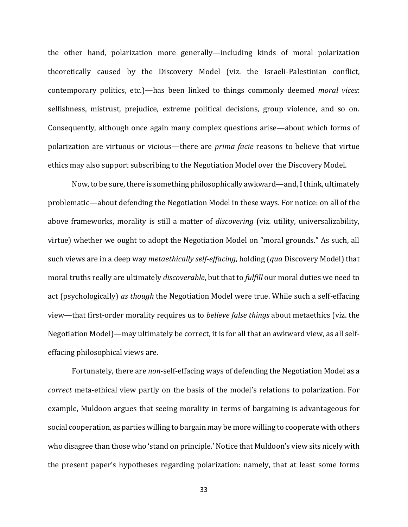the other hand, polarization more generally—including kinds of moral polarization theoretically caused by the Discovery Model (viz. the Israeli-Palestinian conflict, contemporary politics, etc.)—has been linked to things commonly deemed *moral vices*: selfishness, mistrust, prejudice, extreme political decisions, group violence, and so on. Consequently, although once again many complex questions arise—about which forms of polarization are virtuous or vicious—there are *prima facie* reasons to believe that virtue ethics may also support subscribing to the Negotiation Model over the Discovery Model.

Now, to be sure, there is something philosophically awkward—and, I think, ultimately problematic—about defending the Negotiation Model in these ways. For notice: on all of the above frameworks, morality is still a matter of *discovering* (viz. utility, universalizability, virtue) whether we ought to adopt the Negotiation Model on "moral grounds." As such, all such views are in a deep way *metaethically self-effacing*, holding (*qua* Discovery Model) that moral truths really are ultimately *discoverable*, but that to *fulfill* our moral duties we need to act (psychologically) *as though* the Negotiation Model were true. While such a self-effacing view—that first-order morality requires us to *believe false things* about metaethics (viz. the Negotiation Model)—may ultimately be correct, it is for all that an awkward view, as all selfeffacing philosophical views are.

Fortunately, there are *non*-self-effacing ways of defending the Negotiation Model as a *correct* meta-ethical view partly on the basis of the model's relations to polarization. For example, Muldoon argues that seeing morality in terms of bargaining is advantageous for social cooperation, as parties willing to bargain may be more willing to cooperate with others who disagree than those who 'stand on principle.' Notice that Muldoon's view sits nicely with the present paper's hypotheses regarding polarization: namely, that at least some forms

33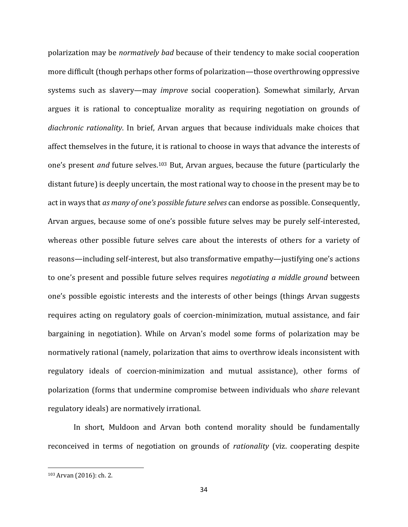polarization may be *normatively bad* because of their tendency to make social cooperation more difficult (though perhaps other forms of polarization—those overthrowing oppressive systems such as slavery—may *improve* social cooperation). Somewhat similarly, Arvan argues it is rational to conceptualize morality as requiring negotiation on grounds of *diachronic rationality*. In brief, Arvan argues that because individuals make choices that affect themselves in the future, it is rational to choose in ways that advance the interests of one's present *and* future selves.<sup>103</sup> But, Arvan argues, because the future (particularly the distant future) is deeply uncertain, the most rational way to choose in the present may be to act in ways that *as many of one's possible future selves* can endorse as possible. Consequently, Arvan argues, because some of one's possible future selves may be purely self-interested, whereas other possible future selves care about the interests of others for a variety of reasons—including self-interest, but also transformative empathy—justifying one's actions to one's present and possible future selves requires *negotiating a middle ground* between one's possible egoistic interests and the interests of other beings (things Arvan suggests requires acting on regulatory goals of coercion-minimization, mutual assistance, and fair bargaining in negotiation). While on Arvan's model some forms of polarization may be normatively rational (namely, polarization that aims to overthrow ideals inconsistent with regulatory ideals of coercion-minimization and mutual assistance), other forms of polarization (forms that undermine compromise between individuals who *share* relevant regulatory ideals) are normatively irrational.

In short, Muldoon and Arvan both contend morality should be fundamentally reconceived in terms of negotiation on grounds of *rationality* (viz. cooperating despite

<sup>103</sup> Arvan (2016): ch. 2.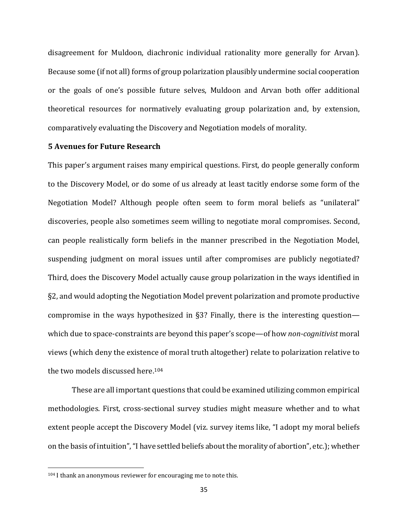disagreement for Muldoon, diachronic individual rationality more generally for Arvan). Because some (if not all) forms of group polarization plausibly undermine social cooperation or the goals of one's possible future selves, Muldoon and Arvan both offer additional theoretical resources for normatively evaluating group polarization and, by extension, comparatively evaluating the Discovery and Negotiation models of morality.

### **5 Avenues for Future Research**

This paper's argument raises many empirical questions. First, do people generally conform to the Discovery Model, or do some of us already at least tacitly endorse some form of the Negotiation Model? Although people often seem to form moral beliefs as "unilateral" discoveries, people also sometimes seem willing to negotiate moral compromises. Second, can people realistically form beliefs in the manner prescribed in the Negotiation Model, suspending judgment on moral issues until after compromises are publicly negotiated? Third, does the Discovery Model actually cause group polarization in the ways identified in §2, and would adopting the Negotiation Model prevent polarization and promote productive compromise in the ways hypothesized in §3? Finally, there is the interesting question which due to space-constraints are beyond this paper's scope—of how *non-cognitivist* moral views (which deny the existence of moral truth altogether) relate to polarization relative to the two models discussed here.<sup>104</sup>

These are all important questions that could be examined utilizing common empirical methodologies. First, cross-sectional survey studies might measure whether and to what extent people accept the Discovery Model (viz. survey items like, "I adopt my moral beliefs on the basis of intuition", "I have settled beliefs about the morality of abortion", etc.); whether

<sup>104</sup> I thank an anonymous reviewer for encouraging me to note this.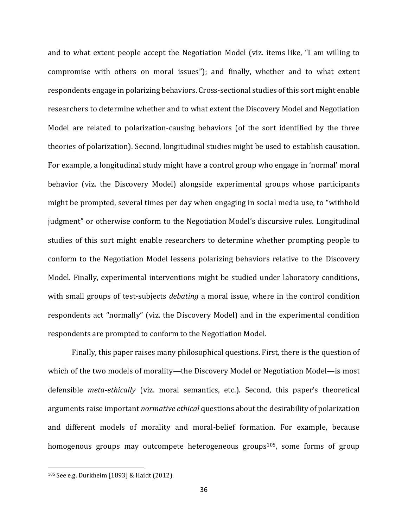and to what extent people accept the Negotiation Model (viz. items like, "I am willing to compromise with others on moral issues"); and finally, whether and to what extent respondents engage in polarizing behaviors. Cross-sectional studies of this sort might enable researchers to determine whether and to what extent the Discovery Model and Negotiation Model are related to polarization-causing behaviors (of the sort identified by the three theories of polarization). Second, longitudinal studies might be used to establish causation. For example, a longitudinal study might have a control group who engage in 'normal' moral behavior (viz. the Discovery Model) alongside experimental groups whose participants might be prompted, several times per day when engaging in social media use, to "withhold judgment" or otherwise conform to the Negotiation Model's discursive rules. Longitudinal studies of this sort might enable researchers to determine whether prompting people to conform to the Negotiation Model lessens polarizing behaviors relative to the Discovery Model. Finally, experimental interventions might be studied under laboratory conditions, with small groups of test-subjects *debating* a moral issue, where in the control condition respondents act "normally" (viz. the Discovery Model) and in the experimental condition respondents are prompted to conform to the Negotiation Model.

Finally, this paper raises many philosophical questions. First, there is the question of which of the two models of morality—the Discovery Model or Negotiation Model—is most defensible *meta-ethically* (viz. moral semantics, etc.). Second, this paper's theoretical arguments raise important *normative ethical* questions about the desirability of polarization and different models of morality and moral-belief formation. For example, because homogenous groups may outcompete heterogeneous groups<sup>105</sup>, some forms of group

<sup>105</sup> See e.g. Durkheim [1893] & Haidt (2012).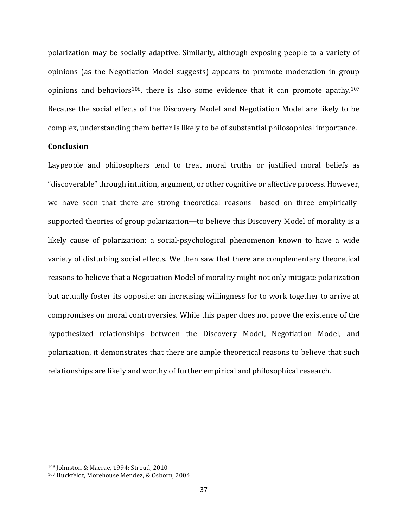polarization may be socially adaptive. Similarly, although exposing people to a variety of opinions (as the Negotiation Model suggests) appears to promote moderation in group opinions and behaviors<sup>106</sup>, there is also some evidence that it can promote apathy.<sup>107</sup> Because the social effects of the Discovery Model and Negotiation Model are likely to be complex, understanding them better is likely to be of substantial philosophical importance.

## **Conclusion**

Laypeople and philosophers tend to treat moral truths or justified moral beliefs as "discoverable"through intuition, argument, or other cognitive or affective process. However, we have seen that there are strong theoretical reasons—based on three empiricallysupported theories of group polarization—to believe this Discovery Model of morality is a likely cause of polarization: a social-psychological phenomenon known to have a wide variety of disturbing social effects. We then saw that there are complementary theoretical reasons to believe that a Negotiation Model of morality might not only mitigate polarization but actually foster its opposite: an increasing willingness for to work together to arrive at compromises on moral controversies. While this paper does not prove the existence of the hypothesized relationships between the Discovery Model, Negotiation Model, and polarization, it demonstrates that there are ample theoretical reasons to believe that such relationships are likely and worthy of further empirical and philosophical research.

<sup>106</sup> Johnston & Macrae, 1994; Stroud, 2010

<sup>107</sup> Huckfeldt, Morehouse Mendez, & Osborn, 2004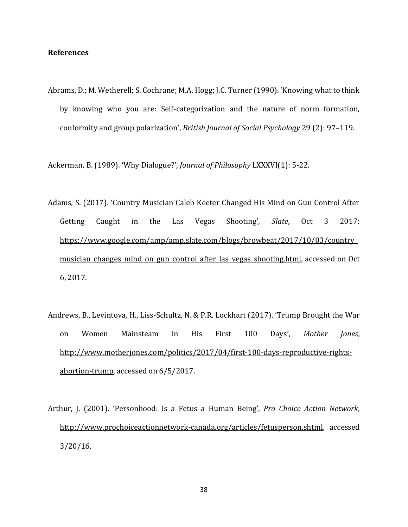## **References**

Abrams, D.; M. Wetherell; S. Cochrane; M.A. Hogg; J.C. Turner (1990). 'Knowing what to think by knowing who you are: Self-categorization and the nature of norm formation, conformity and group polarization', *British Journal of Social Psychology* 29 (2): 97–119.

Ackerman, B. (1989). 'Why Dialogue?', *Journal of Philosophy* LXXXVI(1): 5-22.

- Adams, S. (2017). 'Country Musician Caleb Keeter Changed His Mind on Gun Control After Getting Caught in the Las Vegas Shooting', *Slate*, Oct 3 2017: [https://www.google.com/amp/amp.slate.com/blogs/browbeat/2017/10/03/country\\_](https://www.google.com/amp/amp.slate.com/blogs/browbeat/2017/10/03/country_musician_changes_mind_on_gun_control_after_las_vegas_shooting.html) musician changes mind on gun control after las vegas shooting.html, accessed on Oct 6, 2017.
- Andrews, B., Levintova, H., Liss-Schultz, N. & P.R. Lockhart (2017). 'Trump Brought the War on Women Mainsteam in His First 100 Days', *Mother Jones*, [http://www.motherjones.com/politics/2017/04/first-100-days-reproductive-rights](http://www.motherjones.com/politics/2017/04/first-100-days-reproductive-rights-abortion-trump)[abortion-trump,](http://www.motherjones.com/politics/2017/04/first-100-days-reproductive-rights-abortion-trump) accessed on 6/5/2017.
- Arthur, J. (2001). 'Personhood: Is a Fetus a Human Being', *Pro Choice Action Network*, [http://www.prochoiceactionnetwork-canada.org/articles/fetusperson.shtml,](http://www.prochoiceactionnetwork-canada.org/articles/fetusperson.shtml) accessed 3/20/16.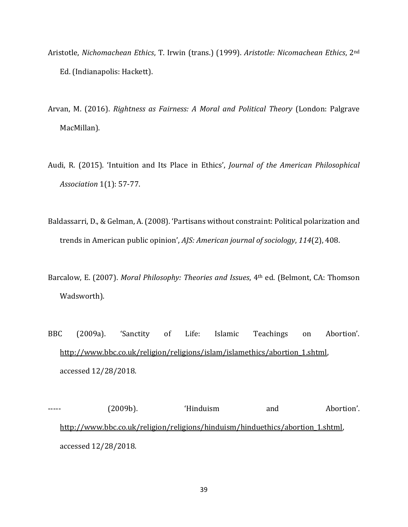- Aristotle, *Nichomachean Ethics*, T. Irwin (trans.) (1999). *Aristotle: Nicomachean Ethics*, 2nd Ed. (Indianapolis: Hackett).
- Arvan, M. (2016). *Rightness as Fairness: A Moral and Political Theory* (London: Palgrave MacMillan).
- Audi, R. (2015). 'Intuition and Its Place in Ethics', *Journal of the American Philosophical Association* 1(1): 57-77.
- Baldassarri, D., & Gelman, A. (2008). 'Partisans without constraint: Political polarization and trends in American public opinion', *AJS: American journal of sociology*, *114*(2), 408.
- Barcalow, E. (2007). *Moral Philosophy: Theories and Issues*, 4th ed. (Belmont, CA: Thomson Wadsworth).
- BBC (2009a). 'Sanctity of Life: Islamic Teachings on Abortion'. [http://www.bbc.co.uk/religion/religions/islam/islamethics/abortion\\_1.shtml,](http://www.bbc.co.uk/religion/religions/islam/islamethics/abortion_1.shtml) accessed 12/28/2018.

----- (2009b). 'Hinduism and Abortion'. [http://www.bbc.co.uk/religion/religions/hinduism/hinduethics/abortion\\_1.shtml,](http://www.bbc.co.uk/religion/religions/hinduism/hinduethics/abortion_1.shtml) accessed 12/28/2018.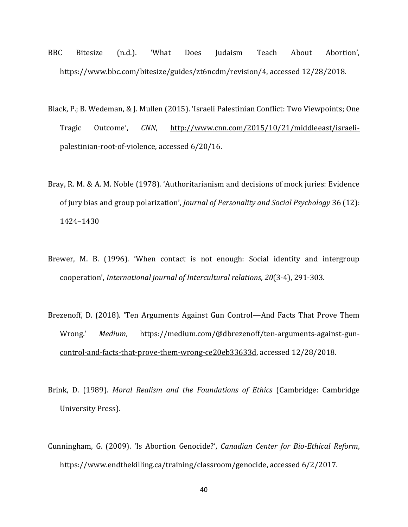- BBC Bitesize (n.d.). 'What Does Judaism Teach About Abortion', [https://www.bbc.com/bitesize/guides/zt6ncdm/revision/4,](https://www.bbc.com/bitesize/guides/zt6ncdm/revision/4) accessed 12/28/2018.
- Black, P.; B. Wedeman, & J. Mullen (2015). 'Israeli Palestinian Conflict: Two Viewpoints; One Tragic Outcome', *CNN*, [http://www.cnn.com/2015/10/21/middleeast/israeli](http://www.cnn.com/2015/10/21/middleeast/israeli-palestinian-root-of-violence)[palestinian-root-of-violence,](http://www.cnn.com/2015/10/21/middleeast/israeli-palestinian-root-of-violence) accessed 6/20/16.
- Bray, R. M. & A. M. Noble (1978). 'Authoritarianism and decisions of mock juries: Evidence of jury bias and group polarization', *Journal of Personality and Social Psychology* 36 (12): 1424–1430
- Brewer, M. B. (1996). 'When contact is not enough: Social identity and intergroup cooperation', *International journal of Intercultural relations*, *20*(3-4), 291-303.
- Brezenoff, D. (2018). 'Ten Arguments Against Gun Control—And Facts That Prove Them Wrong.' Medium, [https://medium.com/@dbrezenoff/ten-arguments-against-gun](https://medium.com/@dbrezenoff/ten-arguments-against-gun-control-and-facts-that-prove-them-wrong-ce20eb33633d)[control-and-facts-that-prove-them-wrong-ce20eb33633d,](https://medium.com/@dbrezenoff/ten-arguments-against-gun-control-and-facts-that-prove-them-wrong-ce20eb33633d) accessed 12/28/2018.
- Brink, D. (1989). *Moral Realism and the Foundations of Ethics* (Cambridge: Cambridge University Press).
- Cunningham, G. (2009). 'Is Abortion Genocide?', *Canadian Center for Bio-Ethical Reform*, [https://www.endthekilling.ca/training/classroom/genocide,](https://www.endthekilling.ca/training/classroom/genocide) accessed 6/2/2017.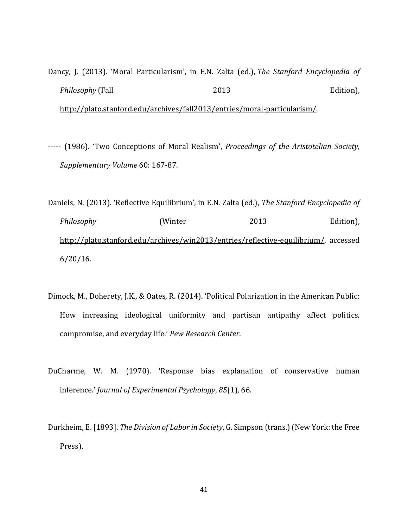- Dancy, J. (2013). 'Moral Particularism', in E.N. Zalta (ed.), *The Stanford Encyclopedia of Philosophy* (Fall 2013 2013 Edition), [http://plato.stanford.edu/archives/fall2013/entries/moral-particularism/.](http://plato.stanford.edu/archives/fall2013/entries/moral-particularism/)
- ----- (1986). 'Two Conceptions of Moral Realism', *Proceedings of the Aristotelian Society, Supplementary Volume* 60: 167-87.
- Daniels, N. (2013). 'Reflective Equilibrium', in E.N. Zalta (ed.), *The Stanford Encyclopedia of Philosophy* (Winter 2013 Edition), [http://plato.stanford.edu/archives/win2013/entries/reflective-equilibrium/,](http://plato.stanford.edu/archives/win2013/entries/reflective-equilibrium/) accessed 6/20/16.
- Dimock, M., Doherety, J.K., & Oates, R. (2014). 'Political Polarization in the American Public: How increasing ideological uniformity and partisan antipathy affect politics, compromise, and everyday life.' *Pew Research Center*.
- DuCharme, W. M. (1970). 'Response bias explanation of conservative human inference.' *Journal of Experimental Psychology*, *85*(1), 66.
- Durkheim, E. [1893]. *The Division of Labor in Society*, G. Simpson (trans.) (New York: the Free Press).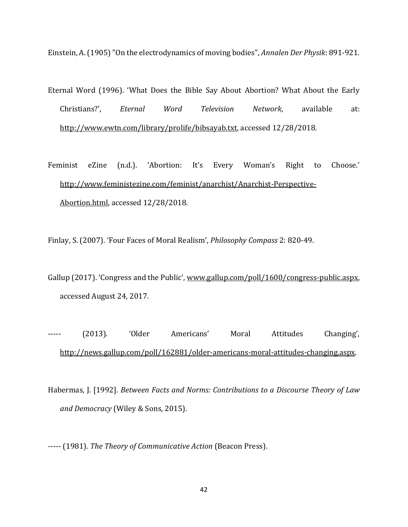Einstein, A. (1905) "On the electrodynamics of moving bodies", *Annalen Der Physik*: 891-921.

- Eternal Word (1996). 'What Does the Bible Say About Abortion? What About the Early Christians?', *Eternal Word Television Network*, available at: [http://www.ewtn.com/library/prolife/bibsayab.txt,](http://www.ewtn.com/library/prolife/bibsayab.txt) accessed 12/28/2018.
- Feminist eZine (n.d.). 'Abortion: It's Every Woman's Right to Choose.' [http://www.feministezine.com/feminist/anarchist/Anarchist-Perspective-](http://www.feministezine.com/feminist/anarchist/Anarchist-Perspective-Abortion.html)[Abortion.html,](http://www.feministezine.com/feminist/anarchist/Anarchist-Perspective-Abortion.html) accessed 12/28/2018.

Finlay, S. (2007). 'Four Faces of Moral Realism', *Philosophy Compass* 2: 820-49.

- Gallup (2017). 'Congress and the Public', [www.gallup.com/poll/1600/congress-public.aspx,](http://www.gallup.com/poll/1600/congress-public.aspx) accessed August 24, 2017.
- ----- (2013). 'Older Americans' Moral Attitudes Changing', [http://news.gallup.com/poll/162881/older-americans-moral-attitudes-changing.aspx.](http://news.gallup.com/poll/162881/older-americans-moral-attitudes-changing.aspx)
- Habermas, J. [1992]. *Between Facts and Norms: Contributions to a Discourse Theory of Law and Democracy* (Wiley & Sons, 2015).

----- (1981). *The Theory of Communicative Action* (Beacon Press).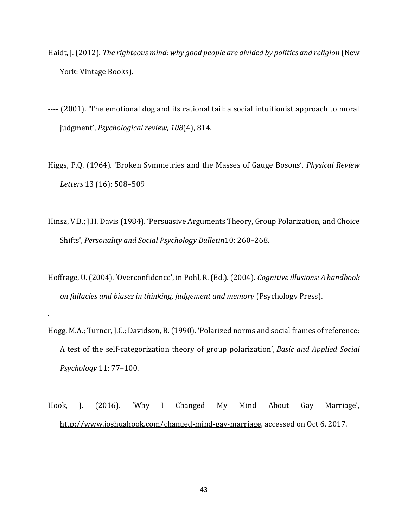- Haidt, J. (2012). *The righteous mind: why good people are divided by politics and religion* (New York: Vintage Books).
- ---- (2001). 'The emotional dog and its rational tail: a social intuitionist approach to moral judgment', *Psychological review*, *108*(4), 814.
- Higgs, P.Q. (1964). 'Broken Symmetries and the Masses of Gauge Bosons'. *Physical Review Letters* 13 (16): 508–509
- Hinsz, V.B.; J.H. Davis (1984). 'Persuasive Arguments Theory, Group Polarization, and Choice Shifts', *Personality and Social Psychology Bulletin*10: 260–268.
- Hoffrage, U. (2004). 'Overconfidence', in Pohl, R. (Ed.). (2004). *Cognitive illusions: A handbook on fallacies and biases in thinking, judgement and memory* (Psychology Press).

.

- Hogg, M.A.; Turner, J.C.; Davidson, B. (1990). 'Polarized norms and social frames of reference: A test of the self-categorization theory of group polarization', *Basic and Applied Social Psychology* 11: 77–100.
- Hook, J. (2016). 'Why I Changed My Mind About Gay Marriage', [http://www.joshuahook.com/changed-mind-gay-marriage,](http://www.joshuahook.com/changed-mind-gay-marriage) accessed on Oct 6, 2017.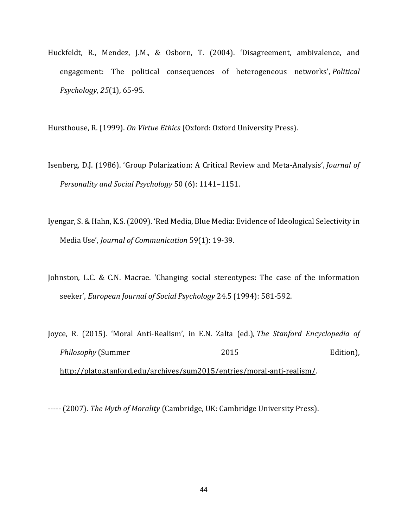Huckfeldt, R., Mendez, J.M., & Osborn, T. (2004). 'Disagreement, ambivalence, and engagement: The political consequences of heterogeneous networks', *Political Psychology*, *25*(1), 65-95.

Hursthouse, R. (1999). *On Virtue Ethics* (Oxford: Oxford University Press).

- Isenberg, D.J. (1986). 'Group Polarization: A Critical Review and Meta-Analysis', *Journal of Personality and Social Psychology* 50 (6): 1141–1151.
- Iyengar, S. & Hahn, K.S. (2009). 'Red Media, Blue Media: Evidence of Ideological Selectivity in Media Use', *Journal of Communication* 59(1): 19-39.
- Johnston, L.C. & C.N. Macrae. 'Changing social stereotypes: The case of the information seeker', *European Journal of Social Psychology* 24.5 (1994): 581-592.
- Joyce, R. (2015). 'Moral Anti-Realism', in E.N. Zalta (ed.), *The Stanford Encyclopedia of Philosophy* (Summer 2015 2015 Edition), [http://plato.stanford.edu/archives/sum2015/entries/moral-anti-realism/.](http://plato.stanford.edu/archives/sum2015/entries/moral-anti-realism/)

----- (2007). *The Myth of Morality* (Cambridge, UK: Cambridge University Press).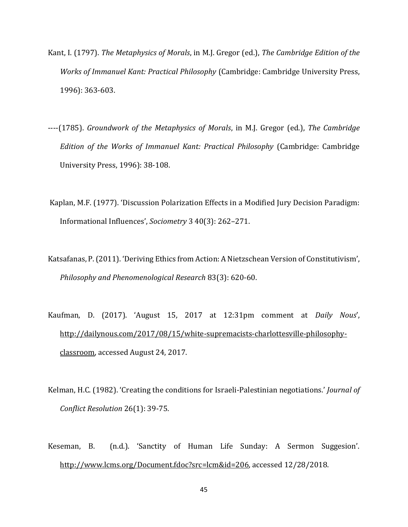- Kant, I. (1797). *The Metaphysics of Morals*, in M.J. Gregor (ed.), *The Cambridge Edition of the Works of Immanuel Kant: Practical Philosophy* (Cambridge: Cambridge University Press, 1996): 363-603.
- ----(1785). *Groundwork of the Metaphysics of Morals*, in M.J. Gregor (ed.), *The Cambridge Edition of the Works of Immanuel Kant: Practical Philosophy* (Cambridge: Cambridge University Press, 1996): 38-108.
- Kaplan, M.F. (1977). 'Discussion Polarization Effects in a Modified Jury Decision Paradigm: Informational Influences', *Sociometry* 3 40(3): 262–271.
- Katsafanas, P.(2011). 'Deriving Ethics from Action: A Nietzschean Version of Constitutivism', *Philosophy and Phenomenological Research* 83(3): 620-60.
- Kaufman, D. (2017). 'August 15, 2017 at 12:31pm comment at *Daily Nous*', [http://dailynous.com/2017/08/15/white-supremacists-charlottesville-philosophy](http://dailynous.com/2017/08/15/white-supremacists-charlottesville-philosophy-classroom)[classroom,](http://dailynous.com/2017/08/15/white-supremacists-charlottesville-philosophy-classroom) accessed August 24, 2017.
- Kelman, H.C. (1982). 'Creating the conditions for Israeli-Palestinian negotiations.' *Journal of Conflict Resolution* 26(1): 39-75.
- Keseman, B. (n.d.). 'Sanctity of Human Life Sunday: A Sermon Suggesion'. [http://www.lcms.org/Document.fdoc?src=lcm&id=206,](http://www.lcms.org/Document.fdoc?src=lcm&id=206) accessed 12/28/2018.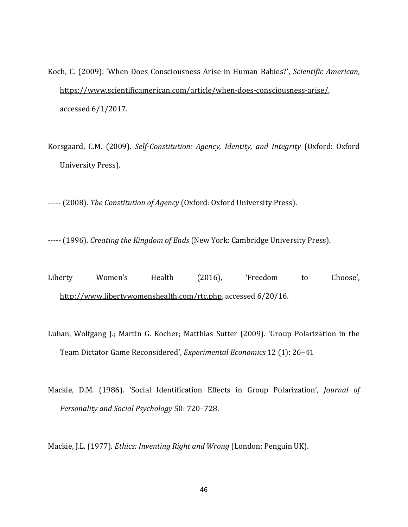- Koch, C. (2009). 'When Does Consciousness Arise in Human Babies?', *Scientific American*, [https://www.scientificamerican.com/article/when-does-consciousness-arise/,](https://www.scientificamerican.com/article/when-does-consciousness-arise/) accessed 6/1/2017.
- Korsgaard, C.M. (2009). *Self-Constitution: Agency, Identity, and Integrity* (Oxford: Oxford University Press).

----- (2008). *The Constitution of Agency* (Oxford: Oxford University Press).

----- (1996). *Creating the Kingdom of Ends* (New York: Cambridge University Press).

- Liberty Women's Health (2016), 'Freedom to Choose', [http://www.libertywomenshealth.com/rtc.php,](http://www.libertywomenshealth.com/rtc.php) accessed 6/20/16.
- Luhan, Wolfgang J.; Martin G. Kocher; Matthias Sutter (2009). 'Group Polarization in the Team Dictator Game Reconsidered', *Experimental Economics* 12 (1): 26–41
- Mackie, D.M. (1986). 'Social Identification Effects in Group Polarization', *Journal of Personality and Social Psychology* 50: 720–728.

Mackie, J.L. (1977). *Ethics: Inventing Right and Wrong* (London: Penguin UK).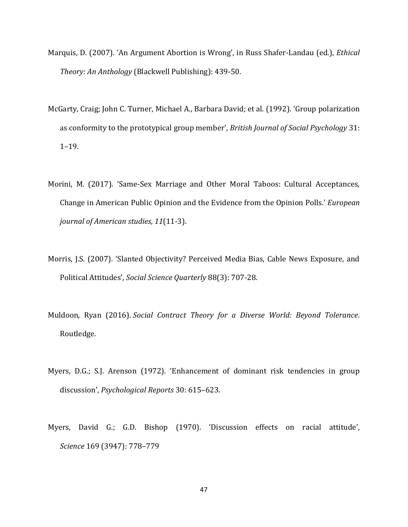- Marquis, D. (2007). 'An Argument Abortion is Wrong', in Russ Shafer-Landau (ed.), *Ethical Theory: An Anthology* (Blackwell Publishing): 439-50.
- McGarty, Craig; John C. Turner, Michael A., Barbara David; et al. (1992). 'Group polarization as conformity to the prototypical group member', *British Journal of Social Psychology* 31: 1–19.
- Morini, M. (2017). 'Same-Sex Marriage and Other Moral Taboos: Cultural Acceptances, Change in American Public Opinion and the Evidence from the Opinion Polls.' *European journal of American studies*, *11*(11-3).
- Morris, J.S. (2007). 'Slanted Objectivity? Perceived Media Bias, Cable News Exposure, and Political Attitudes', *Social Science Quarterly* 88(3): 707-28.
- Muldoon, Ryan (2016). *Social Contract Theory for a Diverse World: Beyond Tolerance*. Routledge.
- Myers, D.G.; S.J. Arenson (1972). 'Enhancement of dominant risk tendencies in group discussion', *Psychological Reports* 30: 615–623.
- Myers, David G.; G.D. Bishop (1970). 'Discussion effects on racial attitude', *Science* 169 (3947): 778–779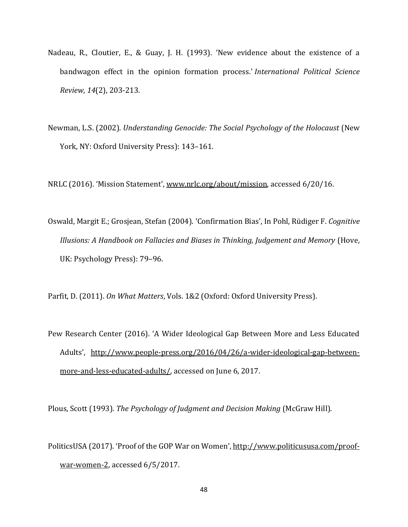- Nadeau, R., Cloutier, E., & Guay, J. H. (1993). 'New evidence about the existence of a bandwagon effect in the opinion formation process.' *International Political Science Review*, *14*(2), 203-213.
- Newman, L.S. (2002). *Understanding Genocide: The Social Psychology of the Holocaust* (New York, NY: Oxford University Press): 143–161.

NRLC (2016). 'Mission Statement'[, www.nrlc.org/about/mission,](http://www.nrlc.org/about/mission) accessed 6/20/16.

Oswald, Margit E.; Grosjean, Stefan (2004). 'Confirmation Bias', In Pohl, Rüdiger F. *Cognitive Illusions: A Handbook on Fallacies and Biases in Thinking, Judgement and Memory* (Hove, UK: Psychology Press): 79–96.

Parfit, D. (2011). *On What Matters*, Vols. 1&2 (Oxford: Oxford University Press).

Pew Research Center (2016). 'A Wider Ideological Gap Between More and Less Educated Adults', [http://www.people-press.org/2016/04/26/a-wider-ideological-gap-between](http://www.people-press.org/2016/04/26/a-wider-ideological-gap-between-more-and-less-educated-adults/)[more-and-less-educated-adults/,](http://www.people-press.org/2016/04/26/a-wider-ideological-gap-between-more-and-less-educated-adults/) accessed on June 6, 2017.

Plous, Scott (1993). *The Psychology of Judgment and Decision Making* (McGraw Hill).

PoliticsUSA (2017). 'Proof of the GOP War on Women'[, http://www.politicususa.com/proof](http://www.politicususa.com/proof-war-women-2)[war-women-2,](http://www.politicususa.com/proof-war-women-2) accessed 6/5/2017.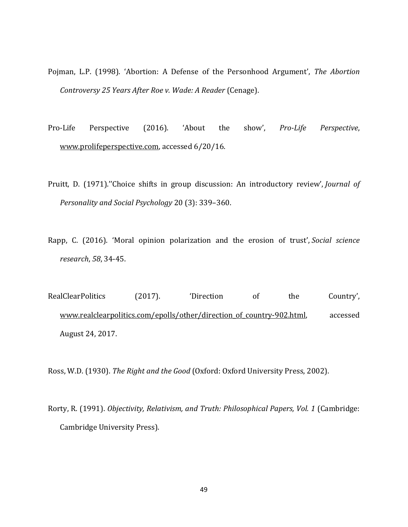- Pojman, L.P. (1998). 'Abortion: A Defense of the Personhood Argument', *The Abortion Controversy 25 Years After Roe v. Wade: A Reader* (Cenage).
- Pro-Life Perspective (2016). 'About the show', *Pro-Life Perspective*, [www.prolifeperspective.com,](http://www.prolifeperspective.com/) accessed 6/20/16.
- Pruitt, D. (1971).''Choice shifts in group discussion: An introductory review', *Journal of Personality and Social Psychology* 20 (3): 339–360.
- Rapp, C. (2016). 'Moral opinion polarization and the erosion of trust', *Social science research*, *58*, 34-45.

RealClearPolitics (2017). 'Direction of the Country', [www.realclearpolitics.com/epolls/other/direction\\_of\\_country-902.html,](http://www.realclearpolitics.com/epolls/other/direction_of_country-902.html) accessed August 24, 2017.

Ross, W.D. (1930). *The Right and the Good* (Oxford: Oxford University Press, 2002).

Rorty, R. (1991). *Objectivity, Relativism, and Truth: Philosophical Papers, Vol. 1* (Cambridge: Cambridge University Press).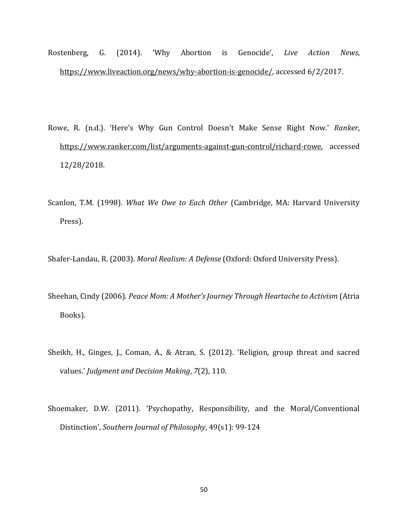- Rostenberg, G. (2014). 'Why Abortion is Genocide', *Live Action News*, [https://www.liveaction.org/news/why-abortion-is-genocide/,](https://www.liveaction.org/news/why-abortion-is-genocide/) accessed 6/2/2017.
- Rowe, R. (n.d.). 'Here's Why Gun Control Doesn't Make Sense Right Now.' *Ranker*, [https://www.ranker.com/list/arguments-against-gun-control/richard-rowe,](https://www.ranker.com/list/arguments-against-gun-control/richard-rowe) accessed 12/28/2018.
- Scanlon, T.M. (1998). *What We Owe to Each Other* (Cambridge, MA: Harvard University Press).

Shafer-Landau, R. (2003). *Moral Realism: A Defense* (Oxford: Oxford University Press).

- Sheehan, Cindy (2006). *Peace Mom: A Mother's Journey Through Heartache to Activism* (Atria Books).
- Sheikh, H., Ginges, J., Coman, A., & Atran, S. (2012). 'Religion, group threat and sacred values.' *Judgment and Decision Making*, *7*(2), 110.
- Shoemaker, D.W. (2011). 'Psychopathy, Responsibility, and the Moral/Conventional Distinction', *Southern Journal of Philosophy*, 49(s1): 99-124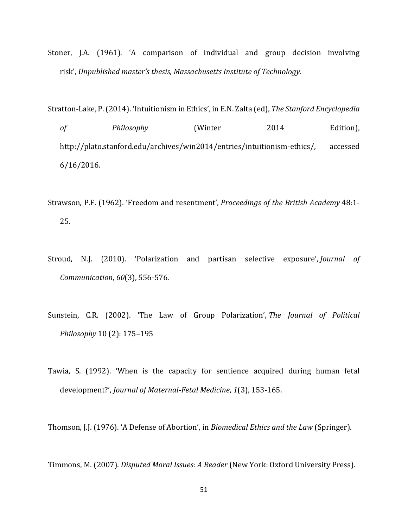Stoner, J.A. (1961). 'A comparison of individual and group decision involving risk', *Unpublished master's thesis, Massachusetts Institute of Technology.*

Stratton-Lake, P. (2014). 'Intuitionism in Ethics', in E.N. Zalta (ed), *The Stanford Encyclopedia of Philosophy* (Winter 2014 Edition), [http://plato.stanford.edu/archives/win2014/entries/intuitionism-ethics/,](http://plato.stanford.edu/archives/win2014/entries/intuitionism-ethics/) accessed 6/16/2016.

- Strawson, P.F. (1962). 'Freedom and resentment', *Proceedings of the British Academy* 48:1- 25.
- Stroud, N.J. (2010). 'Polarization and partisan selective exposure', *Journal of Communication*, *60*(3), 556-576.
- Sunstein, C.R. (2002). 'The Law of Group Polarization', *The Journal of Political Philosophy* 10 (2): 175–195
- Tawia, S. (1992). 'When is the capacity for sentience acquired during human fetal development?', *Journal of Maternal-Fetal Medicine*, *1*(3), 153-165.

Thomson, J.J. (1976). 'A Defense of Abortion', in *Biomedical Ethics and the Law* (Springer).

Timmons, M. (2007). *Disputed Moral Issues: A Reader* (New York: Oxford University Press).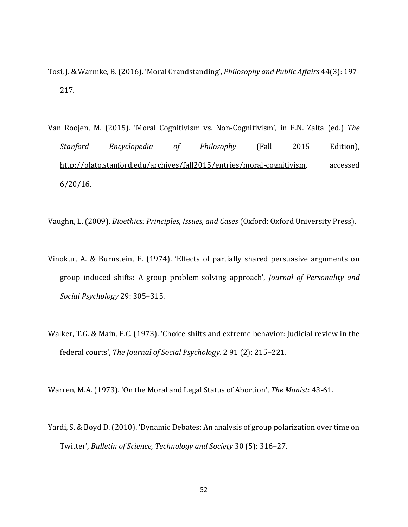- Tosi, J. & Warmke, B. (2016). 'Moral Grandstanding', *Philosophy and Public Affairs* 44(3): 197- 217.
- Van Roojen, M. (2015). 'Moral Cognitivism vs. Non-Cognitivism', in E.N. Zalta (ed.) *The Stanford Encyclopedia of Philosophy* (Fall 2015 Edition), [http://plato.stanford.edu/archives/fall2015/entries/moral-cognitivism,](http://plato.stanford.edu/archives/fall2015/entries/moral-cognitivism) accessed 6/20/16.

Vaughn, L. (2009). *Bioethics: Principles, Issues, and Cases* (Oxford: Oxford University Press).

- Vinokur, A. & Burnstein, E. (1974). 'Effects of partially shared persuasive arguments on group induced shifts: A group problem-solving approach', *Journal of Personality and Social Psychology* 29: 305–315.
- Walker, T.G. & Main, E.C. (1973). 'Choice shifts and extreme behavior: Judicial review in the federal courts', *The Journal of Social Psychology*. 2 91 (2): 215–221.

Warren, M.A. (1973). 'On the Moral and Legal Status of Abortion', *The Monist*: 43-61.

Yardi, S. & Boyd D. (2010). 'Dynamic Debates: An analysis of group polarization over time on Twitter', *Bulletin of Science, Technology and Society* 30 (5): 316–27.